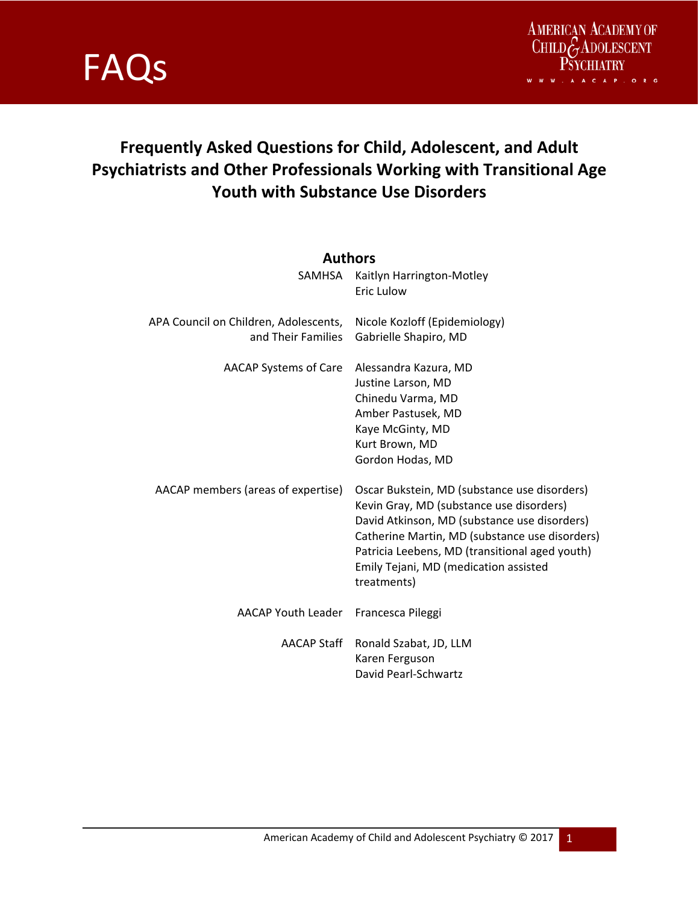

### **Frequently Asked Questions for Child, Adolescent, and Adult Psychiatrists and Other Professionals Working with Transitional Age Youth with Substance Use Disorders**

### **Authors**

| SAMHSA                                                      | Kaitlyn Harrington-Motley<br>Eric Lulow                                                                                                                                                                                                                                                              |
|-------------------------------------------------------------|------------------------------------------------------------------------------------------------------------------------------------------------------------------------------------------------------------------------------------------------------------------------------------------------------|
| APA Council on Children, Adolescents,<br>and Their Families | Nicole Kozloff (Epidemiology)<br>Gabrielle Shapiro, MD                                                                                                                                                                                                                                               |
| AACAP Systems of Care                                       | Alessandra Kazura, MD<br>Justine Larson, MD<br>Chinedu Varma, MD<br>Amber Pastusek, MD<br>Kaye McGinty, MD<br>Kurt Brown, MD<br>Gordon Hodas, MD                                                                                                                                                     |
| AACAP members (areas of expertise)                          | Oscar Bukstein, MD (substance use disorders)<br>Kevin Gray, MD (substance use disorders)<br>David Atkinson, MD (substance use disorders)<br>Catherine Martin, MD (substance use disorders)<br>Patricia Leebens, MD (transitional aged youth)<br>Emily Tejani, MD (medication assisted<br>treatments) |
| AACAP Youth Leader                                          | Francesca Pileggi                                                                                                                                                                                                                                                                                    |
| AACAP Staff                                                 | Ronald Szabat, JD, LLM<br>Karen Ferguson<br>David Pearl-Schwartz                                                                                                                                                                                                                                     |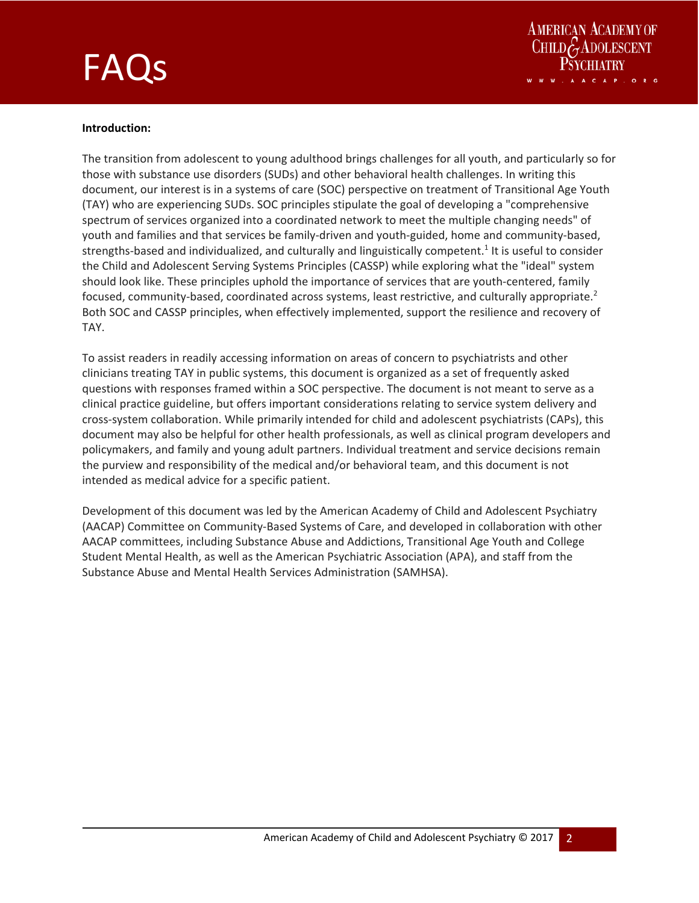



#### **Introduction:**

The transition from adolescent to young adulthood brings challenges for all youth, and particularly so for those with substance use disorders (SUDs) and other behavioral health challenges. In writing this document, our interest is in a systems of care (SOC) perspective on treatment of Transitional Age Youth (TAY) who are experiencing SUDs. SOC principles stipulate the goal of developing a "comprehensive spectrum of services organized into a coordinated network to meet the multiple changing needs" of youth and families and that services be family‐driven and youth‐guided, home and community‐based, strengths-based and individualized, and culturally and linguistically competent.<sup>1</sup> It is useful to consider the Child and Adolescent Serving Systems Principles (CASSP) while exploring what the "ideal" system should look like. These principles uphold the importance of services that are youth-centered, family focused, community-based, coordinated across systems, least restrictive, and culturally appropriate.<sup>2</sup> Both SOC and CASSP principles, when effectively implemented, support the resilience and recovery of TAY.

To assist readers in readily accessing information on areas of concern to psychiatrists and other clinicians treating TAY in public systems, this document is organized as a set of frequently asked questions with responses framed within a SOC perspective. The document is not meant to serve as a clinical practice guideline, but offers important considerations relating to service system delivery and cross‐system collaboration. While primarily intended for child and adolescent psychiatrists (CAPs), this document may also be helpful for other health professionals, as well as clinical program developers and policymakers, and family and young adult partners. Individual treatment and service decisions remain the purview and responsibility of the medical and/or behavioral team, and this document is not intended as medical advice for a specific patient.

Development of this document was led by the American Academy of Child and Adolescent Psychiatry (AACAP) Committee on Community‐Based Systems of Care, and developed in collaboration with other AACAP committees, including Substance Abuse and Addictions, Transitional Age Youth and College Student Mental Health, as well as the American Psychiatric Association (APA), and staff from the Substance Abuse and Mental Health Services Administration (SAMHSA).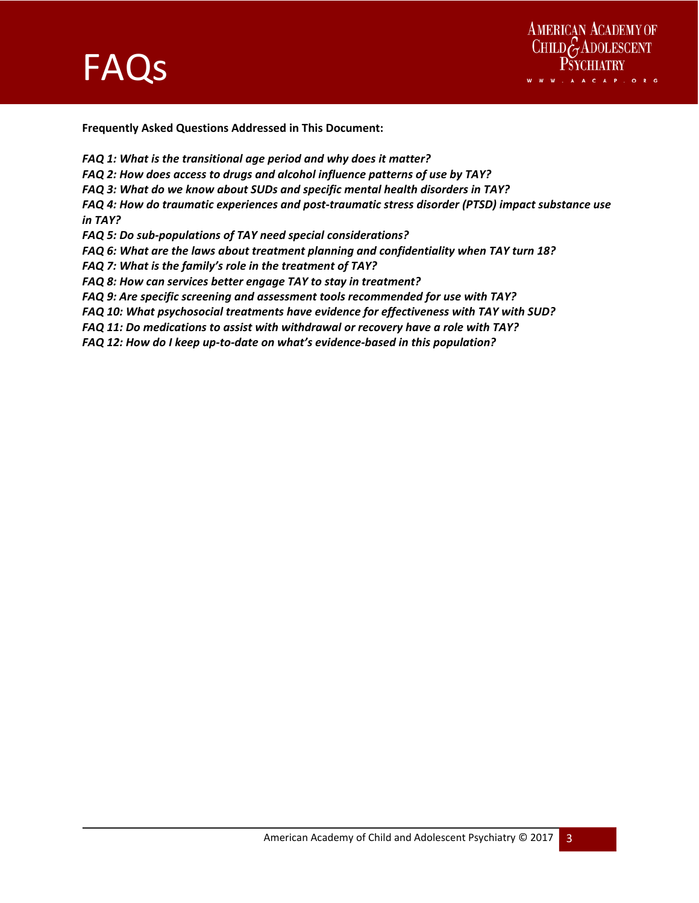



**Frequently Asked Questions Addressed in This Document:** 

and the state of the state of the state of the state of the state of the

- *FAQ 1: What is the transitional age period and why does it matter?*
- *FAQ 2: How does access to drugs and alcohol influence patterns of use by TAY?*
- *FAQ 3: What do we know about SUDs and specific mental health disorders in TAY?*

*FAQ 4: How do traumatic experiences and post‐traumatic stress disorder (PTSD) impact substance use in TAY?* 

*FAQ 5: Do sub‐populations of TAY need special considerations?* 

- *FAQ 6: What are the laws about treatment planning and confidentiality when TAY turn 18?*
- *FAQ 7: What is the family's role in the treatment of TAY?*
- *FAQ 8: How can services better engage TAY to stay in treatment?*
- *FAQ 9: Are specific screening and assessment tools recommended for use with TAY?*
- *FAQ 10: What psychosocial treatments have evidence for effectiveness with TAY with SUD?*
- *FAQ 11: Do medications to assist with withdrawal or recovery have a role with TAY?*
- *FAQ 12: How do I keep up‐to‐date on what's evidence‐based in this population?*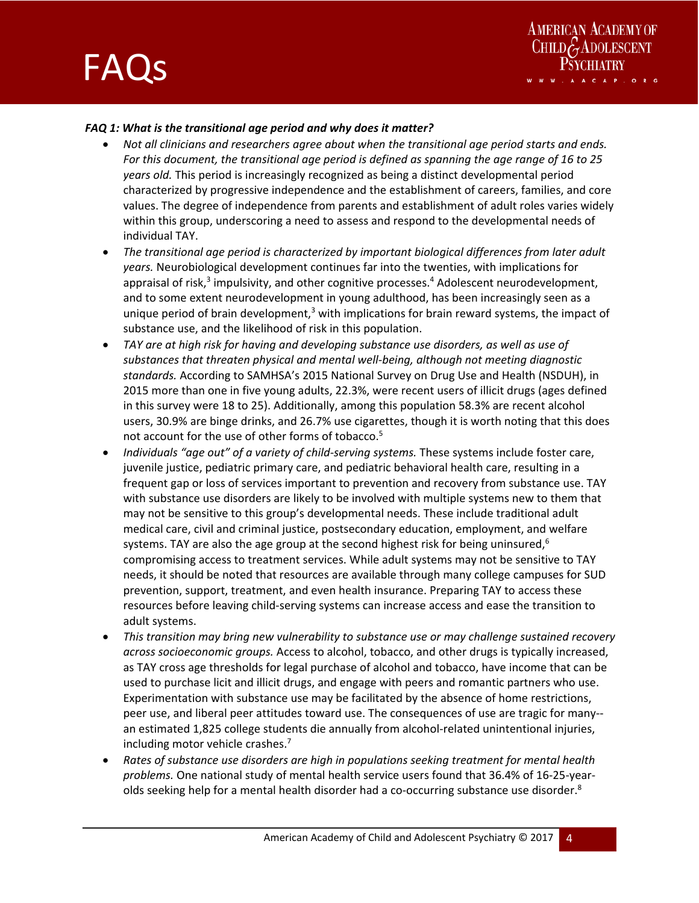

### *FAQ 1: What is the transitional age period and why does it matter?*

- *Not all clinicians and researchers agree about when the transitional age period starts and ends. For this document, the transitional age period is defined as spanning the age range of 16 to 25 years old.* This period is increasingly recognized as being a distinct developmental period characterized by progressive independence and the establishment of careers, families, and core values. The degree of independence from parents and establishment of adult roles varies widely within this group, underscoring a need to assess and respond to the developmental needs of individual TAY.
- *The transitional age period is characterized by important biological differences from later adult years.* Neurobiological development continues far into the twenties, with implications for appraisal of risk,<sup>3</sup> impulsivity, and other cognitive processes.<sup>4</sup> Adolescent neurodevelopment, and to some extent neurodevelopment in young adulthood, has been increasingly seen as a unique period of brain development,<sup>3</sup> with implications for brain reward systems, the impact of substance use, and the likelihood of risk in this population.
- *TAY are at high risk for having and developing substance use disorders, as well as use of substances that threaten physical and mental well‐being, although not meeting diagnostic standards.* According to SAMHSA's 2015 National Survey on Drug Use and Health (NSDUH), in 2015 more than one in five young adults, 22.3%, were recent users of illicit drugs (ages defined in this survey were 18 to 25). Additionally, among this population 58.3% are recent alcohol users, 30.9% are binge drinks, and 26.7% use cigarettes, though it is worth noting that this does not account for the use of other forms of tobacco.<sup>5</sup>
- *Individuals "age out" of a variety of child‐serving systems.* These systems include foster care, juvenile justice, pediatric primary care, and pediatric behavioral health care, resulting in a frequent gap or loss of services important to prevention and recovery from substance use. TAY with substance use disorders are likely to be involved with multiple systems new to them that may not be sensitive to this group's developmental needs. These include traditional adult medical care, civil and criminal justice, postsecondary education, employment, and welfare systems. TAY are also the age group at the second highest risk for being uninsured, $6$ compromising access to treatment services. While adult systems may not be sensitive to TAY needs, it should be noted that resources are available through many college campuses for SUD prevention, support, treatment, and even health insurance. Preparing TAY to access these resources before leaving child‐serving systems can increase access and ease the transition to adult systems.
- *This transition may bring new vulnerability to substance use or may challenge sustained recovery across socioeconomic groups.* Access to alcohol, tobacco, and other drugs is typically increased, as TAY cross age thresholds for legal purchase of alcohol and tobacco, have income that can be used to purchase licit and illicit drugs, and engage with peers and romantic partners who use. Experimentation with substance use may be facilitated by the absence of home restrictions, peer use, and liberal peer attitudes toward use. The consequences of use are tragic for many‐‐ an estimated 1,825 college students die annually from alcohol-related unintentional injuries, including motor vehicle crashes.<sup>7</sup>
- *Rates of substance use disorders are high in populations seeking treatment for mental health problems.* One national study of mental health service users found that 36.4% of 16‐25‐year‐ olds seeking help for a mental health disorder had a co-occurring substance use disorder.<sup>8</sup>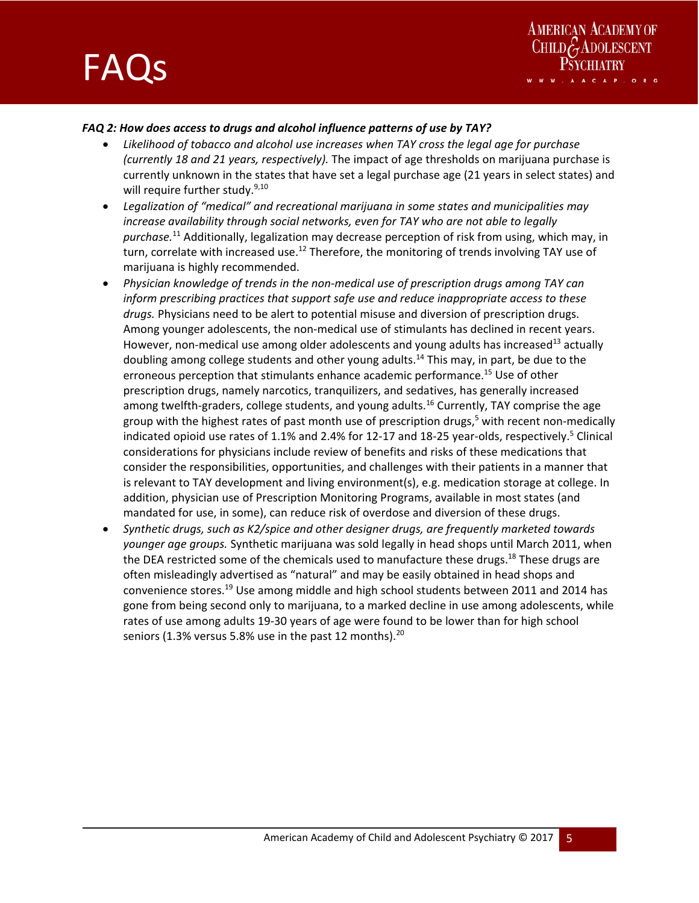

### *FAQ 2: How does access to drugs and alcohol influence patterns of use by TAY?*

- *Likelihood of tobacco and alcohol use increases when TAY cross the legal age for purchase (currently 18 and 21 years, respectively).* The impact of age thresholds on marijuana purchase is currently unknown in the states that have set a legal purchase age (21 years in select states) and will require further study.<sup>9,10</sup>
- *Legalization of "medical" and recreational marijuana in some states and municipalities may increase availability through social networks, even for TAY who are not able to legally purchase.*11 Additionally, legalization may decrease perception of risk from using, which may, in turn, correlate with increased use.<sup>12</sup> Therefore, the monitoring of trends involving TAY use of marijuana is highly recommended.
- *Physician knowledge of trends in the non‐medical use of prescription drugs among TAY can inform prescribing practices that support safe use and reduce inappropriate access to these drugs.* Physicians need to be alert to potential misuse and diversion of prescription drugs. Among younger adolescents, the non-medical use of stimulants has declined in recent years. However, non-medical use among older adolescents and young adults has increased $^{13}$  actually doubling among college students and other young adults.<sup>14</sup> This may, in part, be due to the erroneous perception that stimulants enhance academic performance.<sup>15</sup> Use of other prescription drugs, namely narcotics, tranquilizers, and sedatives, has generally increased among twelfth-graders, college students, and young adults.<sup>16</sup> Currently, TAY comprise the age group with the highest rates of past month use of prescription drugs,<sup>5</sup> with recent non-medically indicated opioid use rates of 1.1% and 2.4% for 12-17 and 18-25 year-olds, respectively.<sup>5</sup> Clinical considerations for physicians include review of benefits and risks of these medications that consider the responsibilities, opportunities, and challenges with their patients in a manner that is relevant to TAY development and living environment(s), e.g. medication storage at college. In addition, physician use of Prescription Monitoring Programs, available in most states (and mandated for use, in some), can reduce risk of overdose and diversion of these drugs.
- *Synthetic drugs, such as K2/spice and other designer drugs, are frequently marketed towards younger age groups.* Synthetic marijuana was sold legally in head shops until March 2011, when the DEA restricted some of the chemicals used to manufacture these drugs.<sup>18</sup> These drugs are often misleadingly advertised as "natural" and may be easily obtained in head shops and convenience stores.<sup>19</sup> Use among middle and high school students between 2011 and 2014 has gone from being second only to marijuana, to a marked decline in use among adolescents, while rates of use among adults 19‐30 years of age were found to be lower than for high school seniors (1.3% versus 5.8% use in the past 12 months).<sup>20</sup>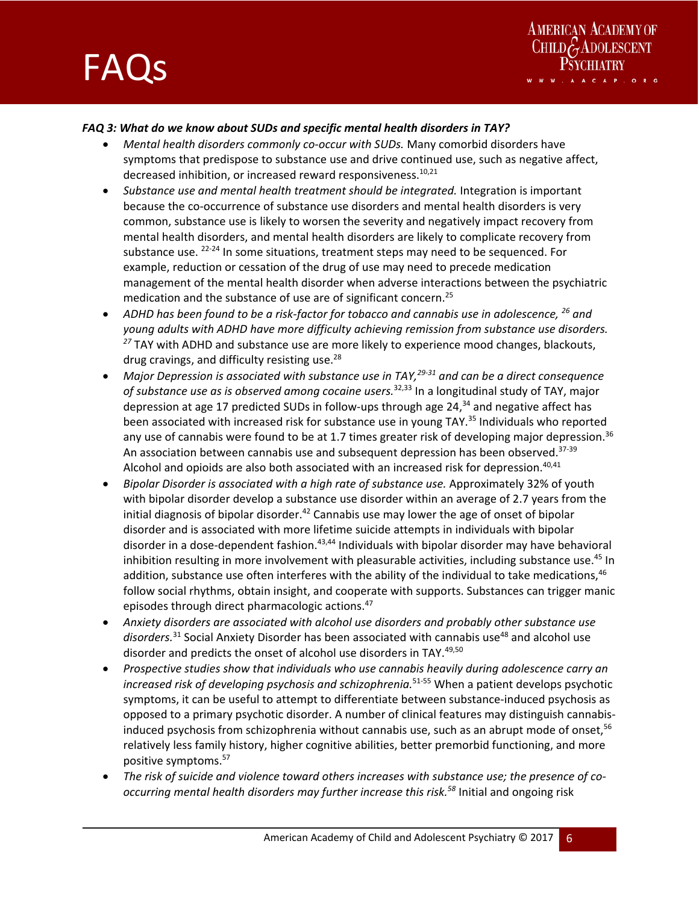



### *FAQ 3: What do we know about SUDs and specific mental health disorders in TAY?*

- *Mental health disorders commonly co‐occur with SUDs.* Many comorbid disorders have symptoms that predispose to substance use and drive continued use, such as negative affect, decreased inhibition, or increased reward responsiveness.<sup>10,21</sup>
- *Substance use and mental health treatment should be integrated.* Integration is important because the co-occurrence of substance use disorders and mental health disorders is very common, substance use is likely to worsen the severity and negatively impact recovery from mental health disorders, and mental health disorders are likely to complicate recovery from substance use.  $22-24$  In some situations, treatment steps may need to be sequenced. For example, reduction or cessation of the drug of use may need to precede medication management of the mental health disorder when adverse interactions between the psychiatric medication and the substance of use are of significant concern.<sup>25</sup>
- *ADHD has been found to be a risk‐factor for tobacco and cannabis use in adolescence, 26 and young adults with ADHD have more difficulty achieving remission from substance use disorders. <sup>27</sup>* TAY with ADHD and substance use are more likely to experience mood changes, blackouts, drug cravings, and difficulty resisting use.<sup>28</sup>
- *Major Depression is associated with substance use in TAY,29‐31 and can be a direct consequence of substance use as is observed among cocaine users.*32,33 In a longitudinal study of TAY, major depression at age 17 predicted SUDs in follow-ups through age  $24<sup>34</sup>$  and negative affect has been associated with increased risk for substance use in young TAY.<sup>35</sup> Individuals who reported any use of cannabis were found to be at 1.7 times greater risk of developing major depression.<sup>36</sup> An association between cannabis use and subsequent depression has been observed. $37-39$ Alcohol and opioids are also both associated with an increased risk for depression.<sup>40,41</sup>
- *Bipolar Disorder is associated with a high rate of substance use.* Approximately 32% of youth with bipolar disorder develop a substance use disorder within an average of 2.7 years from the initial diagnosis of bipolar disorder.<sup>42</sup> Cannabis use may lower the age of onset of bipolar disorder and is associated with more lifetime suicide attempts in individuals with bipolar disorder in a dose-dependent fashion.<sup>43,44</sup> Individuals with bipolar disorder may have behavioral inhibition resulting in more involvement with pleasurable activities, including substance use.<sup>45</sup> In addition, substance use often interferes with the ability of the individual to take medications,<sup>46</sup> follow social rhythms, obtain insight, and cooperate with supports. Substances can trigger manic episodes through direct pharmacologic actions.<sup>47</sup>
- *Anxiety disorders are associated with alcohol use disorders and probably other substance use disorders.*31 Social Anxiety Disorder has been associated with cannabis use48 and alcohol use disorder and predicts the onset of alcohol use disorders in TAY. 49,50
- *Prospective studies show that individuals who use cannabis heavily during adolescence carry an increased risk of developing psychosis and schizophrenia.*51‐55 When a patient develops psychotic symptoms, it can be useful to attempt to differentiate between substance-induced psychosis as opposed to a primary psychotic disorder. A number of clinical features may distinguish cannabis‐ induced psychosis from schizophrenia without cannabis use, such as an abrupt mode of onset,<sup>56</sup> relatively less family history, higher cognitive abilities, better premorbid functioning, and more positive symptoms.57
- *The risk of suicide and violence toward others increases with substance use; the presence of co‐ occurring mental health disorders may further increase this risk.58* Initial and ongoing risk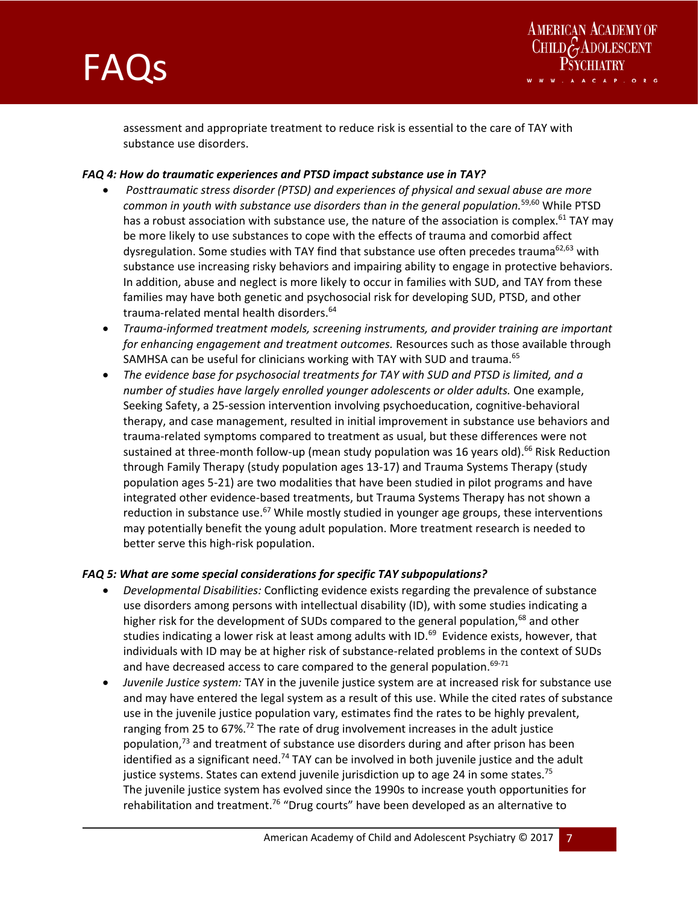



assessment and appropriate treatment to reduce risk is essential to the care of TAY with substance use disorders.

#### *FAQ 4: How do traumatic experiences and PTSD impact substance use in TAY?*

and the state of the state of the state of the state of the state of the

- *Posttraumatic stress disorder (PTSD) and experiences of physical and sexual abuse are more common in youth with substance use disorders than in the general population.*59,60 While PTSD has a robust association with substance use, the nature of the association is complex.<sup>61</sup> TAY may be more likely to use substances to cope with the effects of trauma and comorbid affect dysregulation. Some studies with TAY find that substance use often precedes trauma<sup>62,63</sup> with substance use increasing risky behaviors and impairing ability to engage in protective behaviors. In addition, abuse and neglect is more likely to occur in families with SUD, and TAY from these families may have both genetic and psychosocial risk for developing SUD, PTSD, and other trauma-related mental health disorders.<sup>64</sup>
- *Trauma‐informed treatment models, screening instruments, and provider training are important for enhancing engagement and treatment outcomes.* Resources such as those available through SAMHSA can be useful for clinicians working with TAY with SUD and trauma.<sup>65</sup>
- *The evidence base for psychosocial treatments for TAY with SUD and PTSD is limited, and a number of studies have largely enrolled younger adolescents or older adults.* One example, Seeking Safety, a 25‐session intervention involving psychoeducation, cognitive‐behavioral therapy, and case management, resulted in initial improvement in substance use behaviors and trauma‐related symptoms compared to treatment as usual, but these differences were not sustained at three-month follow-up (mean study population was 16 years old).<sup>66</sup> Risk Reduction through Family Therapy (study population ages 13‐17) and Trauma Systems Therapy (study population ages 5‐21) are two modalities that have been studied in pilot programs and have integrated other evidence‐based treatments, but Trauma Systems Therapy has not shown a reduction in substance use.<sup>67</sup> While mostly studied in younger age groups, these interventions may potentially benefit the young adult population. More treatment research is needed to better serve this high‐risk population.

#### *FAQ 5: What are some special considerations for specific TAY subpopulations?*

- *Developmental Disabilities:* Conflicting evidence exists regarding the prevalence of substance use disorders among persons with intellectual disability (ID), with some studies indicating a higher risk for the development of SUDs compared to the general population,<sup>68</sup> and other studies indicating a lower risk at least among adults with ID.<sup>69</sup> Evidence exists, however, that individuals with ID may be at higher risk of substance-related problems in the context of SUDs and have decreased access to care compared to the general population. $69-71$
- *Juvenile Justice system:* TAY in the juvenile justice system are at increased risk for substance use and may have entered the legal system as a result of this use. While the cited rates of substance use in the juvenile justice population vary, estimates find the rates to be highly prevalent, ranging from 25 to  $67\%$ .<sup>72</sup> The rate of drug involvement increases in the adult justice population,<sup>73</sup> and treatment of substance use disorders during and after prison has been identified as a significant need.<sup>74</sup> TAY can be involved in both juvenile justice and the adult justice systems. States can extend juvenile jurisdiction up to age 24 in some states.<sup>75</sup> The juvenile justice system has evolved since the 1990s to increase youth opportunities for rehabilitation and treatment.<sup>76</sup> "Drug courts" have been developed as an alternative to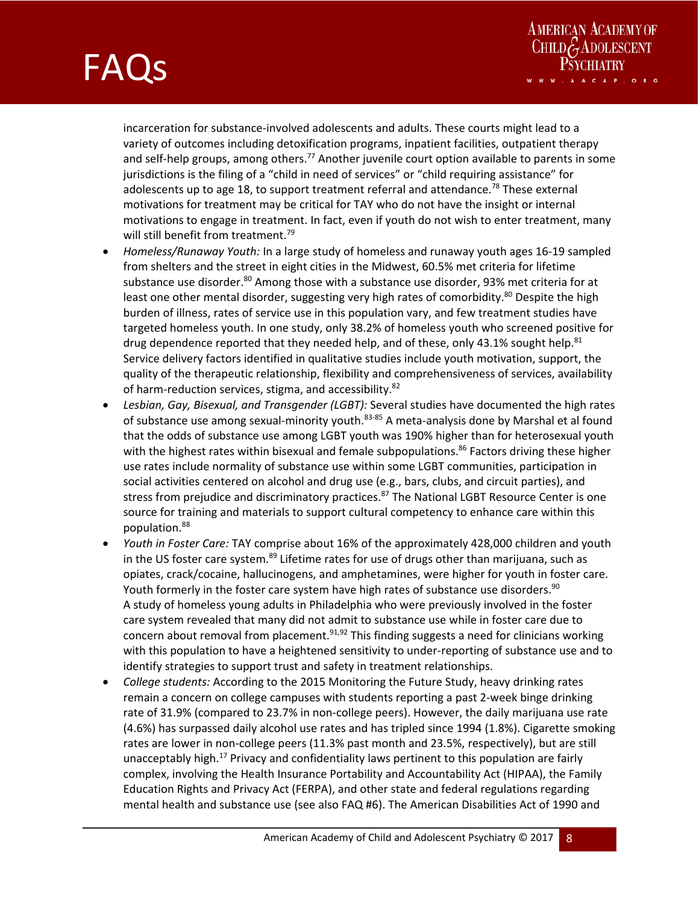and the state of the state of the state of the state of the state of the

AMERICAN ACADEMY OF<br>CHILDGADOLESCENT

incarceration for substance‐involved adolescents and adults. These courts might lead to a variety of outcomes including detoxification programs, inpatient facilities, outpatient therapy and self-help groups, among others.<sup>77</sup> Another juvenile court option available to parents in some jurisdictions is the filing of a "child in need of services" or "child requiring assistance" for adolescents up to age 18, to support treatment referral and attendance.<sup>78</sup> These external motivations for treatment may be critical for TAY who do not have the insight or internal motivations to engage in treatment. In fact, even if youth do not wish to enter treatment, many will still benefit from treatment.<sup>79</sup>

- *Homeless/Runaway Youth:* In a large study of homeless and runaway youth ages 16‐19 sampled from shelters and the street in eight cities in the Midwest, 60.5% met criteria for lifetime substance use disorder.<sup>80</sup> Among those with a substance use disorder, 93% met criteria for at least one other mental disorder, suggesting very high rates of comorbidity.<sup>80</sup> Despite the high burden of illness, rates of service use in this population vary, and few treatment studies have targeted homeless youth. In one study, only 38.2% of homeless youth who screened positive for drug dependence reported that they needed help, and of these, only 43.1% sought help.<sup>81</sup> Service delivery factors identified in qualitative studies include youth motivation, support, the quality of the therapeutic relationship, flexibility and comprehensiveness of services, availability of harm-reduction services, stigma, and accessibility.<sup>82</sup>
- *Lesbian, Gay, Bisexual, and Transgender (LGBT):* Several studies have documented the high rates of substance use among sexual-minority youth.<sup>83-85</sup> A meta-analysis done by Marshal et al found that the odds of substance use among LGBT youth was 190% higher than for heterosexual youth with the highest rates within bisexual and female subpopulations.<sup>86</sup> Factors driving these higher use rates include normality of substance use within some LGBT communities, participation in social activities centered on alcohol and drug use (e.g., bars, clubs, and circuit parties), and stress from prejudice and discriminatory practices.<sup>87</sup> The National LGBT Resource Center is one source for training and materials to support cultural competency to enhance care within this population.88
- *Youth in Foster Care:* TAY comprise about 16% of the approximately 428,000 children and youth in the US foster care system.<sup>89</sup> Lifetime rates for use of drugs other than marijuana, such as opiates, crack/cocaine, hallucinogens, and amphetamines, were higher for youth in foster care. Youth formerly in the foster care system have high rates of substance use disorders.<sup>90</sup> A study of homeless young adults in Philadelphia who were previously involved in the foster care system revealed that many did not admit to substance use while in foster care due to concern about removal from placement.<sup>91,92</sup> This finding suggests a need for clinicians working with this population to have a heightened sensitivity to under-reporting of substance use and to identify strategies to support trust and safety in treatment relationships.
- *College students:* According to the 2015 Monitoring the Future Study, heavy drinking rates remain a concern on college campuses with students reporting a past 2‐week binge drinking rate of 31.9% (compared to 23.7% in non-college peers). However, the daily marijuana use rate (4.6%) has surpassed daily alcohol use rates and has tripled since 1994 (1.8%). Cigarette smoking rates are lower in non-college peers (11.3% past month and 23.5%, respectively), but are still unacceptably high.<sup>17</sup> Privacy and confidentiality laws pertinent to this population are fairly complex, involving the Health Insurance Portability and Accountability Act (HIPAA), the Family Education Rights and Privacy Act (FERPA), and other state and federal regulations regarding mental health and substance use (see also FAQ #6). The American Disabilities Act of 1990 and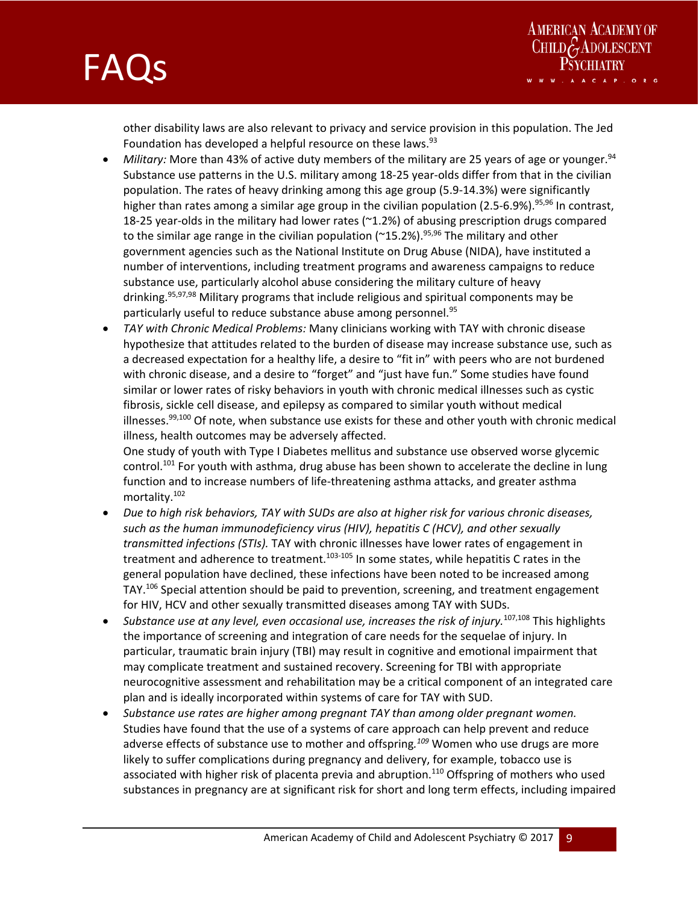



other disability laws are also relevant to privacy and service provision in this population. The Jed Foundation has developed a helpful resource on these laws.<sup>93</sup>

- *Military:* More than 43% of active duty members of the military are 25 years of age or younger.<sup>94</sup> Substance use patterns in the U.S. military among 18‐25 year‐olds differ from that in the civilian population. The rates of heavy drinking among this age group (5.9‐14.3%) were significantly higher than rates among a similar age group in the civilian population (2.5-6.9%).<sup>95,96</sup> In contrast, 18-25 year-olds in the military had lower rates ( $\sim$ 1.2%) of abusing prescription drugs compared to the similar age range in the civilian population ( $^{\sim}$ 15.2%).<sup>95,96</sup> The military and other government agencies such as the National Institute on Drug Abuse (NIDA), have instituted a number of interventions, including treatment programs and awareness campaigns to reduce substance use, particularly alcohol abuse considering the military culture of heavy drinking.95,97,98 Military programs that include religious and spiritual components may be particularly useful to reduce substance abuse among personnel.<sup>95</sup>
- *TAY with Chronic Medical Problems:* Many clinicians working with TAY with chronic disease hypothesize that attitudes related to the burden of disease may increase substance use, such as a decreased expectation for a healthy life, a desire to "fit in" with peers who are not burdened with chronic disease, and a desire to "forget" and "just have fun." Some studies have found similar or lower rates of risky behaviors in youth with chronic medical illnesses such as cystic fibrosis, sickle cell disease, and epilepsy as compared to similar youth without medical illnesses. $99,100$  Of note, when substance use exists for these and other youth with chronic medical illness, health outcomes may be adversely affected.

One study of youth with Type I Diabetes mellitus and substance use observed worse glycemic control.<sup>101</sup> For youth with asthma, drug abuse has been shown to accelerate the decline in lung function and to increase numbers of life‐threatening asthma attacks, and greater asthma mortality.102

- *Due to high risk behaviors, TAY with SUDs are also at higher risk for various chronic diseases, such as the human immunodeficiency virus (HIV), hepatitis C (HCV), and other sexually transmitted infections (STIs).* TAY with chronic illnesses have lower rates of engagement in treatment and adherence to treatment.<sup>103-105</sup> In some states, while hepatitis C rates in the general population have declined, these infections have been noted to be increased among TAY.106 Special attention should be paid to prevention, screening, and treatment engagement for HIV, HCV and other sexually transmitted diseases among TAY with SUDs.
- *Substance use at any level, even occasional use, increases the risk of injury.*107,108 This highlights the importance of screening and integration of care needs for the sequelae of injury. In particular, traumatic brain injury (TBI) may result in cognitive and emotional impairment that may complicate treatment and sustained recovery. Screening for TBI with appropriate neurocognitive assessment and rehabilitation may be a critical component of an integrated care plan and is ideally incorporated within systems of care for TAY with SUD.
- *Substance use rates are higher among pregnant TAY than among older pregnant women.*  Studies have found that the use of a systems of care approach can help prevent and reduce adverse effects of substance use to mother and offspring*. <sup>109</sup>* Women who use drugs are more likely to suffer complications during pregnancy and delivery, for example, tobacco use is associated with higher risk of placenta previa and abruption.<sup>110</sup> Offspring of mothers who used substances in pregnancy are at significant risk for short and long term effects, including impaired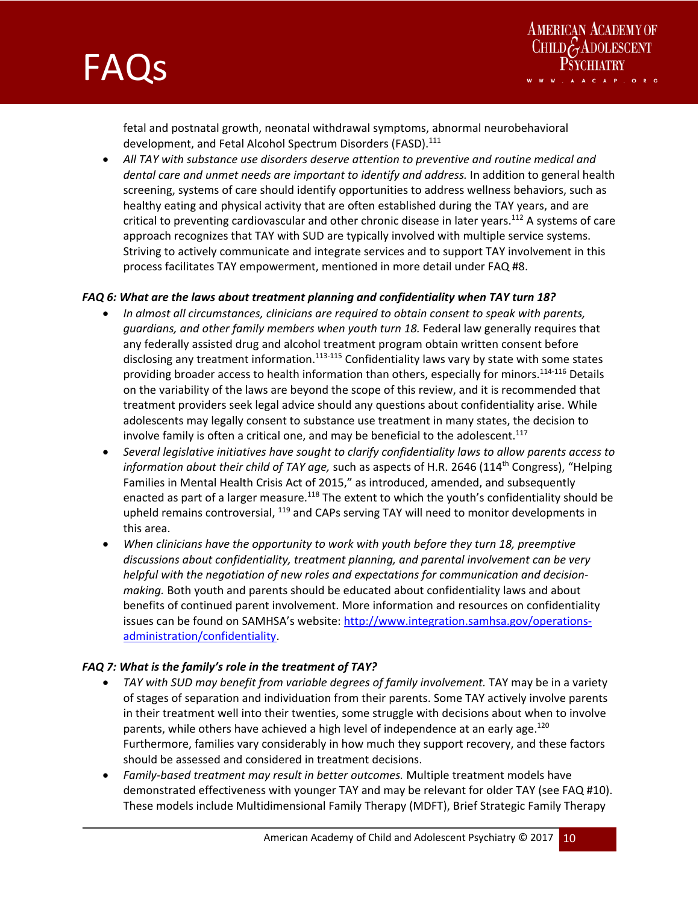



fetal and postnatal growth, neonatal withdrawal symptoms, abnormal neurobehavioral development, and Fetal Alcohol Spectrum Disorders (FASD).<sup>111</sup>

 *All TAY with substance use disorders deserve attention to preventive and routine medical and dental care and unmet needs are important to identify and address.* In addition to general health screening, systems of care should identify opportunities to address wellness behaviors, such as healthy eating and physical activity that are often established during the TAY years, and are critical to preventing cardiovascular and other chronic disease in later years.112 A systems of care approach recognizes that TAY with SUD are typically involved with multiple service systems. Striving to actively communicate and integrate services and to support TAY involvement in this process facilitates TAY empowerment, mentioned in more detail under FAQ #8.

#### *FAQ 6: What are the laws about treatment planning and confidentiality when TAY turn 18?*

- *In almost all circumstances, clinicians are required to obtain consent to speak with parents, guardians, and other family members when youth turn 18.* Federal law generally requires that any federally assisted drug and alcohol treatment program obtain written consent before disclosing any treatment information. $113-115$  Confidentiality laws vary by state with some states providing broader access to health information than others, especially for minors.<sup>114-116</sup> Details on the variability of the laws are beyond the scope of this review, and it is recommended that treatment providers seek legal advice should any questions about confidentiality arise. While adolescents may legally consent to substance use treatment in many states, the decision to involve family is often a critical one, and may be beneficial to the adolescent. $117$
- *Several legislative initiatives have sought to clarify confidentiality laws to allow parents access to information about their child of TAY age,* such as aspects of H.R. 2646 (114<sup>th</sup> Congress), "Helping Families in Mental Health Crisis Act of 2015," as introduced, amended, and subsequently enacted as part of a larger measure.<sup>118</sup> The extent to which the youth's confidentiality should be upheld remains controversial, 119 and CAPs serving TAY will need to monitor developments in this area.
- *When clinicians have the opportunity to work with youth before they turn 18, preemptive discussions about confidentiality, treatment planning, and parental involvement can be very helpful with the negotiation of new roles and expectations for communication and decision‐ making.* Both youth and parents should be educated about confidentiality laws and about benefits of continued parent involvement. More information and resources on confidentiality issues can be found on SAMHSA's website: http://www.integration.samhsa.gov/operationsadministration/confidentiality.

#### *FAQ 7: What is the family's role in the treatment of TAY?*

- *TAY with SUD may benefit from variable degrees of family involvement.* TAY may be in a variety of stages of separation and individuation from their parents. Some TAY actively involve parents in their treatment well into their twenties, some struggle with decisions about when to involve parents, while others have achieved a high level of independence at an early age.<sup>120</sup> Furthermore, families vary considerably in how much they support recovery, and these factors should be assessed and considered in treatment decisions.
- *Family‐based treatment may result in better outcomes.* Multiple treatment models have demonstrated effectiveness with younger TAY and may be relevant for older TAY (see FAQ #10). These models include Multidimensional Family Therapy (MDFT), Brief Strategic Family Therapy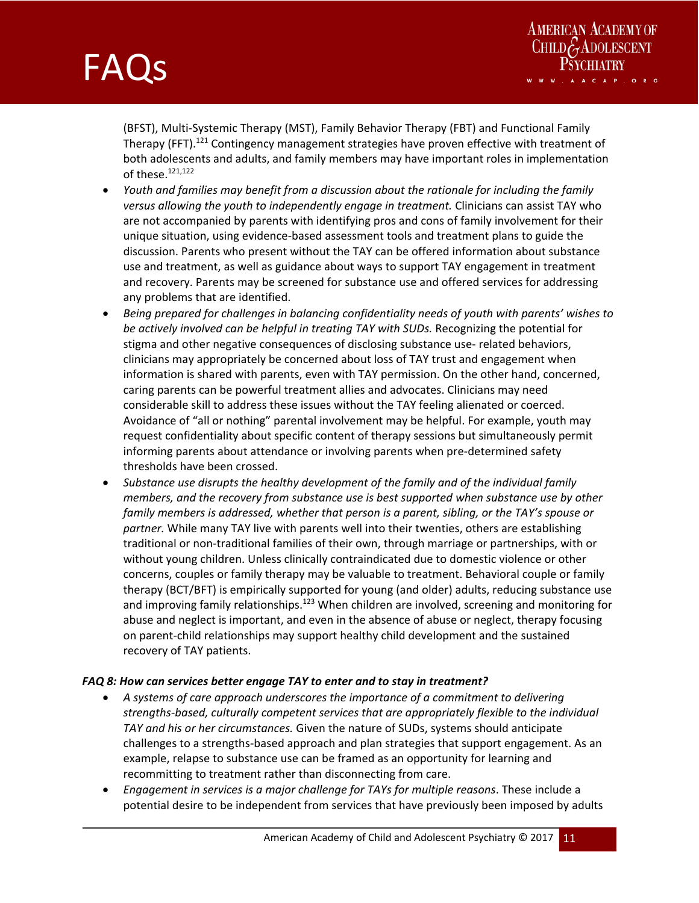and the state of the state of the state of the state of the state of the



(BFST), Multi‐Systemic Therapy (MST), Family Behavior Therapy (FBT) and Functional Family Therapy (FFT).<sup>121</sup> Contingency management strategies have proven effective with treatment of both adolescents and adults, and family members may have important roles in implementation of these.121,122

- *Youth and families may benefit from a discussion about the rationale for including the family versus allowing the youth to independently engage in treatment.* Clinicians can assist TAY who are not accompanied by parents with identifying pros and cons of family involvement for their unique situation, using evidence‐based assessment tools and treatment plans to guide the discussion. Parents who present without the TAY can be offered information about substance use and treatment, as well as guidance about ways to support TAY engagement in treatment and recovery. Parents may be screened for substance use and offered services for addressing any problems that are identified.
- *Being prepared for challenges in balancing confidentiality needs of youth with parents' wishes to be actively involved can be helpful in treating TAY with SUDs.* Recognizing the potential for stigma and other negative consequences of disclosing substance use- related behaviors, clinicians may appropriately be concerned about loss of TAY trust and engagement when information is shared with parents, even with TAY permission. On the other hand, concerned, caring parents can be powerful treatment allies and advocates. Clinicians may need considerable skill to address these issues without the TAY feeling alienated or coerced. Avoidance of "all or nothing" parental involvement may be helpful. For example, youth may request confidentiality about specific content of therapy sessions but simultaneously permit informing parents about attendance or involving parents when pre‐determined safety thresholds have been crossed.
- *Substance use disrupts the healthy development of the family and of the individual family members, and the recovery from substance use is best supported when substance use by other family members is addressed, whether that person is a parent, sibling, or the TAY's spouse or partner.* While many TAY live with parents well into their twenties, others are establishing traditional or non‐traditional families of their own, through marriage or partnerships, with or without young children. Unless clinically contraindicated due to domestic violence or other concerns, couples or family therapy may be valuable to treatment. Behavioral couple or family therapy (BCT/BFT) is empirically supported for young (and older) adults, reducing substance use and improving family relationships.<sup>123</sup> When children are involved, screening and monitoring for abuse and neglect is important, and even in the absence of abuse or neglect, therapy focusing on parent‐child relationships may support healthy child development and the sustained recovery of TAY patients.

#### *FAQ 8: How can services better engage TAY to enter and to stay in treatment?*

- *A systems of care approach underscores the importance of a commitment to delivering strengths‐based, culturally competent services that are appropriately flexible to the individual TAY and his or her circumstances.* Given the nature of SUDs, systems should anticipate challenges to a strengths‐based approach and plan strategies that support engagement. As an example, relapse to substance use can be framed as an opportunity for learning and recommitting to treatment rather than disconnecting from care.
- *Engagement in services is a major challenge for TAYs for multiple reasons*. These include a potential desire to be independent from services that have previously been imposed by adults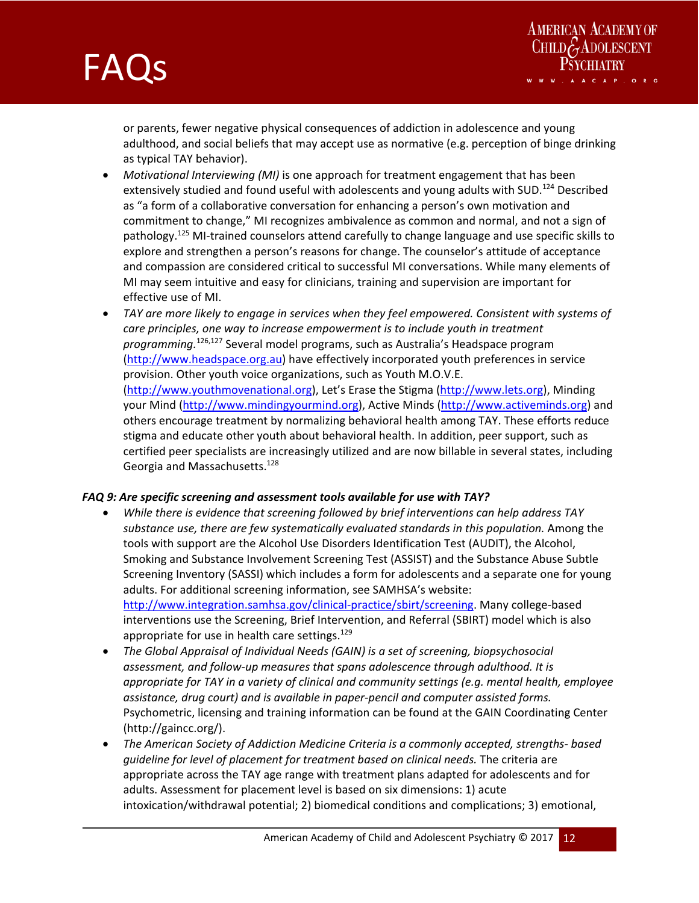



or parents, fewer negative physical consequences of addiction in adolescence and young adulthood, and social beliefs that may accept use as normative (e.g. perception of binge drinking as typical TAY behavior).

- *Motivational Interviewing (MI)* is one approach for treatment engagement that has been extensively studied and found useful with adolescents and young adults with SUD.<sup>124</sup> Described as "a form of a collaborative conversation for enhancing a person's own motivation and commitment to change," MI recognizes ambivalence as common and normal, and not a sign of pathology.<sup>125</sup> MI-trained counselors attend carefully to change language and use specific skills to explore and strengthen a person's reasons for change. The counselor's attitude of acceptance and compassion are considered critical to successful MI conversations. While many elements of MI may seem intuitive and easy for clinicians, training and supervision are important for effective use of MI.
- *TAY are more likely to engage in services when they feel empowered. Consistent with systems of care principles, one way to increase empowerment is to include youth in treatment programming.*126,127 Several model programs, such as Australia's Headspace program (http://www.headspace.org.au) have effectively incorporated youth preferences in service provision. Other youth voice organizations, such as Youth M.O.V.E. (http://www.youthmovenational.org), Let's Erase the Stigma (http://www.lets.org), Minding your Mind (http://www.mindingyourmind.org), Active Minds (http://www.activeminds.org) and others encourage treatment by normalizing behavioral health among TAY. These efforts reduce stigma and educate other youth about behavioral health. In addition, peer support, such as certified peer specialists are increasingly utilized and are now billable in several states, including Georgia and Massachusetts.<sup>128</sup>

#### *FAQ 9: Are specific screening and assessment tools available for use with TAY?*

- *While there is evidence that screening followed by brief interventions can help address TAY substance use, there are few systematically evaluated standards in this population.* Among the tools with support are the Alcohol Use Disorders Identification Test (AUDIT), the Alcohol, Smoking and Substance Involvement Screening Test (ASSIST) and the Substance Abuse Subtle Screening Inventory (SASSI) which includes a form for adolescents and a separate one for young adults. For additional screening information, see SAMHSA's website: http://www.integration.samhsa.gov/clinical‐practice/sbirt/screening. Many college‐based interventions use the Screening, Brief Intervention, and Referral (SBIRT) model which is also appropriate for use in health care settings. $129$
- *The Global Appraisal of Individual Needs (GAIN) is a set of screening, biopsychosocial assessment, and follow‐up measures that spans adolescence through adulthood. It is appropriate for TAY in a variety of clinical and community settings (e.g. mental health, employee assistance, drug court) and is available in paper‐pencil and computer assisted forms.* Psychometric, licensing and training information can be found at the GAIN Coordinating Center (http://gaincc.org/).
- *The American Society of Addiction Medicine Criteria is a commonly accepted, strengths‐ based guideline for level of placement for treatment based on clinical needs.* The criteria are appropriate across the TAY age range with treatment plans adapted for adolescents and for adults. Assessment for placement level is based on six dimensions: 1) acute intoxication/withdrawal potential; 2) biomedical conditions and complications; 3) emotional,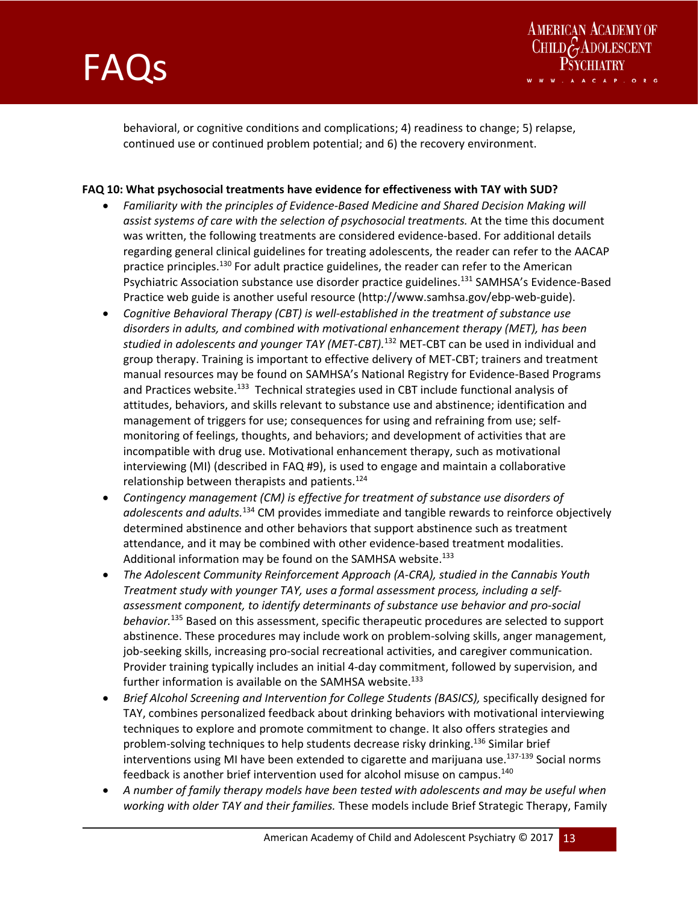



behavioral, or cognitive conditions and complications; 4) readiness to change; 5) relapse, continued use or continued problem potential; and 6) the recovery environment.

#### **FAQ 10: What psychosocial treatments have evidence for effectiveness with TAY with SUD?**

- *Familiarity with the principles of Evidence‐Based Medicine and Shared Decision Making will assist systems of care with the selection of psychosocial treatments.* At the time this document was written, the following treatments are considered evidence-based. For additional details regarding general clinical guidelines for treating adolescents, the reader can refer to the AACAP practice principles.<sup>130</sup> For adult practice guidelines, the reader can refer to the American Psychiatric Association substance use disorder practice guidelines.<sup>131</sup> SAMHSA's Evidence-Based Practice web guide is another useful resource (http://www.samhsa.gov/ebp‐web‐guide).
- *Cognitive Behavioral Therapy (CBT) is well‐established in the treatment of substance use disorders in adults, and combined with motivational enhancement therapy (MET), has been studied in adolescents and younger TAY (MET‐CBT).*<sup>132</sup> MET‐CBT can be used in individual and group therapy. Training is important to effective delivery of MET‐CBT; trainers and treatment manual resources may be found on SAMHSA's National Registry for Evidence‐Based Programs and Practices website.<sup>133</sup> Technical strategies used in CBT include functional analysis of attitudes, behaviors, and skills relevant to substance use and abstinence; identification and management of triggers for use; consequences for using and refraining from use; self‐ monitoring of feelings, thoughts, and behaviors; and development of activities that are incompatible with drug use. Motivational enhancement therapy, such as motivational interviewing (MI) (described in FAQ #9), is used to engage and maintain a collaborative relationship between therapists and patients. $124$
- *Contingency management (CM) is effective for treatment of substance use disorders of adolescents and adults.*134 CM provides immediate and tangible rewards to reinforce objectively determined abstinence and other behaviors that support abstinence such as treatment attendance, and it may be combined with other evidence‐based treatment modalities. Additional information may be found on the SAMHSA website.<sup>133</sup>
- *The Adolescent Community Reinforcement Approach (A‐CRA), studied in the Cannabis Youth Treatment study with younger TAY, uses a formal assessment process, including a self‐ assessment component, to identify determinants of substance use behavior and pro‐social behavior.*135 Based on this assessment, specific therapeutic procedures are selected to support abstinence. These procedures may include work on problem‐solving skills, anger management, job-seeking skills, increasing pro-social recreational activities, and caregiver communication. Provider training typically includes an initial 4‐day commitment, followed by supervision, and further information is available on the SAMHSA website.<sup>133</sup>
- *Brief Alcohol Screening and Intervention for College Students (BASICS),* specifically designed for TAY, combines personalized feedback about drinking behaviors with motivational interviewing techniques to explore and promote commitment to change. It also offers strategies and problem-solving techniques to help students decrease risky drinking.<sup>136</sup> Similar brief interventions using MI have been extended to cigarette and marijuana use.<sup>137-139</sup> Social norms feedback is another brief intervention used for alcohol misuse on campus.140
- *A number of family therapy models have been tested with adolescents and may be useful when working with older TAY and their families.* These models include Brief Strategic Therapy, Family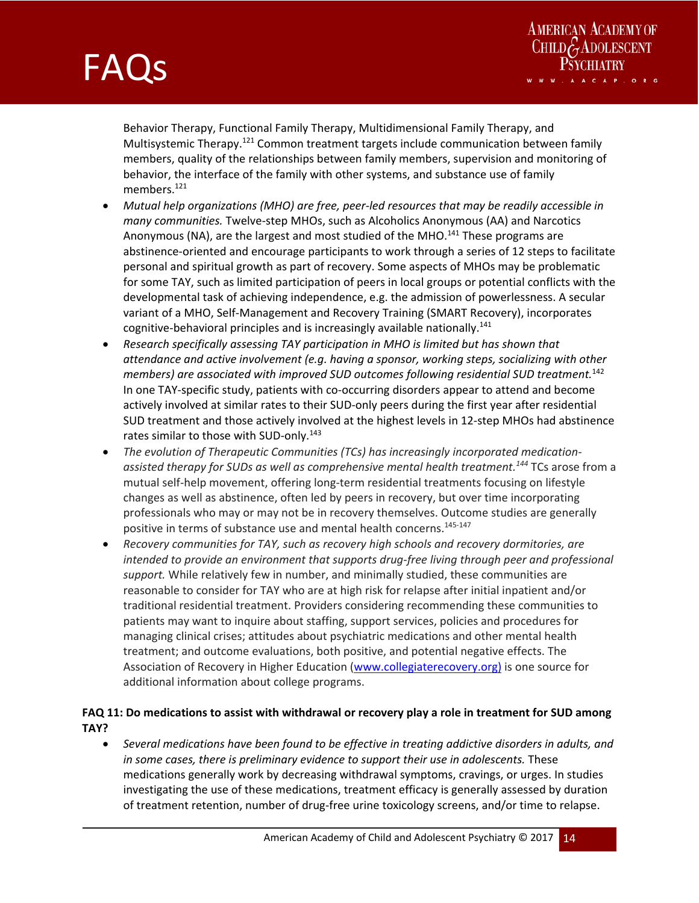and the state of the state of the state of the state of the state of the



Behavior Therapy, Functional Family Therapy, Multidimensional Family Therapy, and Multisystemic Therapy.<sup>121</sup> Common treatment targets include communication between family members, quality of the relationships between family members, supervision and monitoring of behavior, the interface of the family with other systems, and substance use of family members.<sup>121</sup>

- *Mutual help organizations (MHO) are free, peer‐led resources that may be readily accessible in many communities.* Twelve‐step MHOs, such as Alcoholics Anonymous (AA) and Narcotics Anonymous (NA), are the largest and most studied of the MHO.<sup>141</sup> These programs are abstinence‐oriented and encourage participants to work through a series of 12 steps to facilitate personal and spiritual growth as part of recovery. Some aspects of MHOs may be problematic for some TAY, such as limited participation of peers in local groups or potential conflicts with the developmental task of achieving independence, e.g. the admission of powerlessness. A secular variant of a MHO, Self‐Management and Recovery Training (SMART Recovery), incorporates cognitive-behavioral principles and is increasingly available nationally.<sup>141</sup>
- *Research specifically assessing TAY participation in MHO is limited but has shown that attendance and active involvement (e.g. having a sponsor, working steps, socializing with other members) are associated with improved SUD outcomes following residential SUD treatment.*<sup>142</sup> In one TAY‐specific study, patients with co‐occurring disorders appear to attend and become actively involved at similar rates to their SUD‐only peers during the first year after residential SUD treatment and those actively involved at the highest levels in 12‐step MHOs had abstinence rates similar to those with SUD-only.<sup>143</sup>
- *The evolution of Therapeutic Communities (TCs) has increasingly incorporated medication‐ assisted therapy for SUDs as well as comprehensive mental health treatment.144* TCs arose from a mutual self‐help movement, offering long‐term residential treatments focusing on lifestyle changes as well as abstinence, often led by peers in recovery, but over time incorporating professionals who may or may not be in recovery themselves. Outcome studies are generally positive in terms of substance use and mental health concerns.<sup>145-147</sup>
- *Recovery communities for TAY, such as recovery high schools and recovery dormitories, are intended to provide an environment that supports drug‐free living through peer and professional support.* While relatively few in number, and minimally studied, these communities are reasonable to consider for TAY who are at high risk for relapse after initial inpatient and/or traditional residential treatment. Providers considering recommending these communities to patients may want to inquire about staffing, support services, policies and procedures for managing clinical crises; attitudes about psychiatric medications and other mental health treatment; and outcome evaluations, both positive, and potential negative effects. The Association of Recovery in Higher Education (www.collegiaterecovery.org) is one source for additional information about college programs.

### **FAQ 11: Do medications to assist with withdrawal or recovery play a role in treatment for SUD among TAY?**

 *Several medications have been found to be effective in treating addictive disorders in adults, and in some cases, there is preliminary evidence to support their use in adolescents.* These medications generally work by decreasing withdrawal symptoms, cravings, or urges. In studies investigating the use of these medications, treatment efficacy is generally assessed by duration of treatment retention, number of drug‐free urine toxicology screens, and/or time to relapse.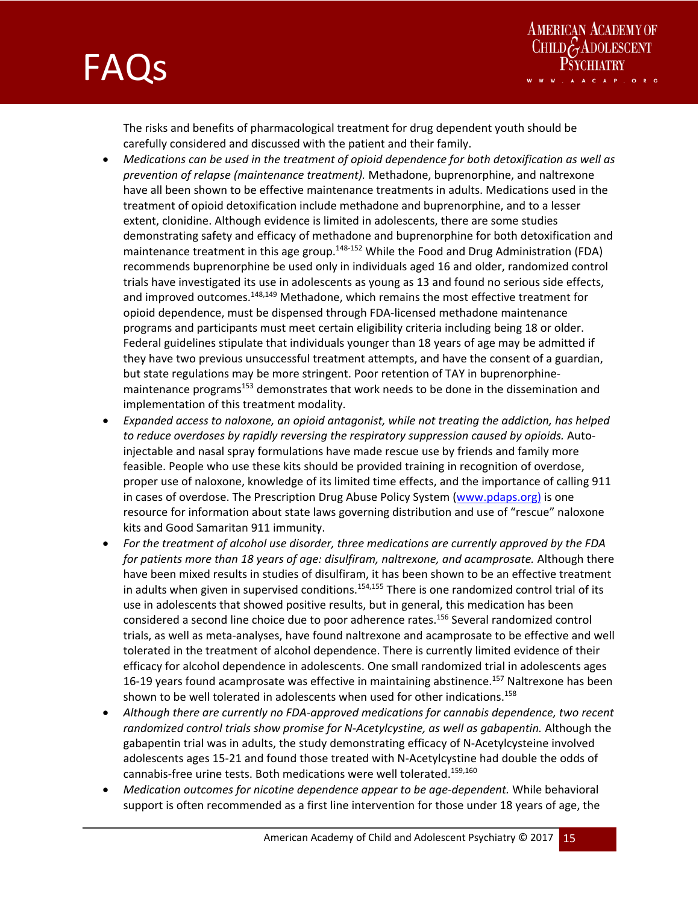



The risks and benefits of pharmacological treatment for drug dependent youth should be carefully considered and discussed with the patient and their family.

- *Medications can be used in the treatment of opioid dependence for both detoxification as well as prevention of relapse (maintenance treatment).* Methadone, buprenorphine, and naltrexone have all been shown to be effective maintenance treatments in adults. Medications used in the treatment of opioid detoxification include methadone and buprenorphine, and to a lesser extent, clonidine. Although evidence is limited in adolescents, there are some studies demonstrating safety and efficacy of methadone and buprenorphine for both detoxification and maintenance treatment in this age group.<sup>148-152</sup> While the Food and Drug Administration (FDA) recommends buprenorphine be used only in individuals aged 16 and older, randomized control trials have investigated its use in adolescents as young as 13 and found no serious side effects, and improved outcomes.<sup>148,149</sup> Methadone, which remains the most effective treatment for opioid dependence, must be dispensed through FDA‐licensed methadone maintenance programs and participants must meet certain eligibility criteria including being 18 or older. Federal guidelines stipulate that individuals younger than 18 years of age may be admitted if they have two previous unsuccessful treatment attempts, and have the consent of a guardian, but state regulations may be more stringent. Poor retention of TAY in buprenorphine‐ maintenance programs<sup>153</sup> demonstrates that work needs to be done in the dissemination and implementation of this treatment modality.
- *Expanded access to naloxone, an opioid antagonist, while not treating the addiction, has helped to reduce overdoses by rapidly reversing the respiratory suppression caused by opioids.* Auto‐ injectable and nasal spray formulations have made rescue use by friends and family more feasible. People who use these kits should be provided training in recognition of overdose, proper use of naloxone, knowledge of its limited time effects, and the importance of calling 911 in cases of overdose. The Prescription Drug Abuse Policy System (www.pdaps.org) is one resource for information about state laws governing distribution and use of "rescue" naloxone kits and Good Samaritan 911 immunity.
- *For the treatment of alcohol use disorder, three medications are currently approved by the FDA for patients more than 18 years of age: disulfiram, naltrexone, and acamprosate.* Although there have been mixed results in studies of disulfiram, it has been shown to be an effective treatment in adults when given in supervised conditions.<sup>154,155</sup> There is one randomized control trial of its use in adolescents that showed positive results, but in general, this medication has been considered a second line choice due to poor adherence rates.<sup>156</sup> Several randomized control trials, as well as meta‐analyses, have found naltrexone and acamprosate to be effective and well tolerated in the treatment of alcohol dependence. There is currently limited evidence of their efficacy for alcohol dependence in adolescents. One small randomized trial in adolescents ages 16-19 years found acamprosate was effective in maintaining abstinence.<sup>157</sup> Naltrexone has been shown to be well tolerated in adolescents when used for other indications.<sup>158</sup>
- *Although there are currently no FDA‐approved medications for cannabis dependence, two recent randomized control trials show promise for N‐Acetylcystine, as well as gabapentin.* Although the gabapentin trial was in adults, the study demonstrating efficacy of N‐Acetylcysteine involved adolescents ages 15‐21 and found those treated with N‐Acetylcystine had double the odds of cannabis-free urine tests. Both medications were well tolerated.<sup>159,160</sup>
- *Medication outcomes for nicotine dependence appear to be age‐dependent.* While behavioral support is often recommended as a first line intervention for those under 18 years of age, the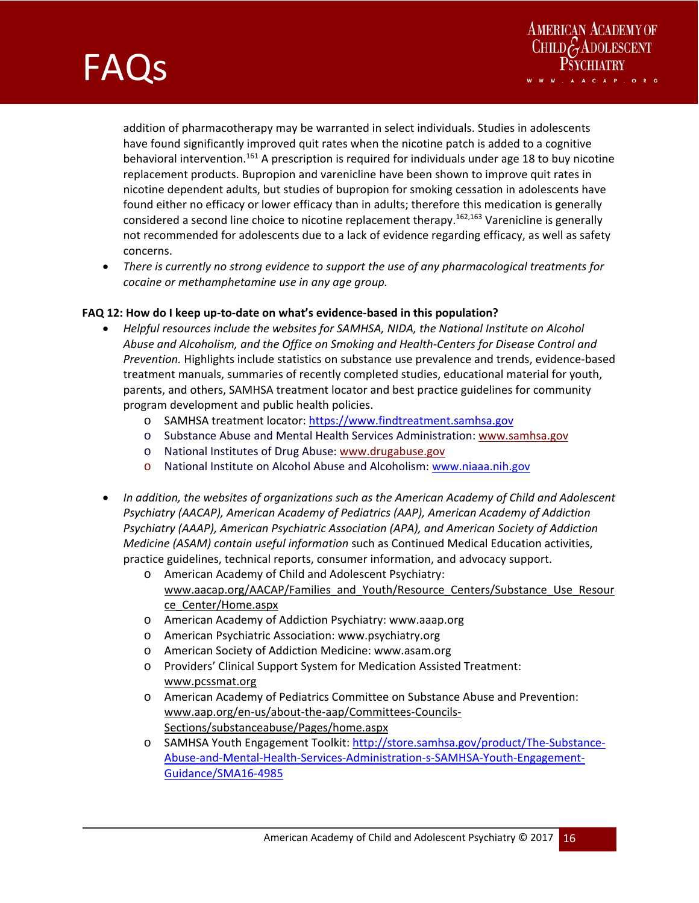

AMERICAN ACADEMY OF<br>CHILDGADOLESCENT

addition of pharmacotherapy may be warranted in select individuals. Studies in adolescents have found significantly improved quit rates when the nicotine patch is added to a cognitive behavioral intervention.<sup>161</sup> A prescription is required for individuals under age 18 to buy nicotine replacement products. Bupropion and varenicline have been shown to improve quit rates in nicotine dependent adults, but studies of bupropion for smoking cessation in adolescents have found either no efficacy or lower efficacy than in adults; therefore this medication is generally considered a second line choice to nicotine replacement therapy.<sup>162,163</sup> Varenicline is generally not recommended for adolescents due to a lack of evidence regarding efficacy, as well as safety concerns.

 *There is currently no strong evidence to support the use of any pharmacological treatments for cocaine or methamphetamine use in any age group.* 

#### FAQ 12: How do I keep up-to-date on what's evidence-based in this population?

- *Helpful resources include the websites for SAMHSA, NIDA, the National Institute on Alcohol Abuse and Alcoholism, and the Office on Smoking and Health‐Centers for Disease Control and Prevention.* Highlights include statistics on substance use prevalence and trends, evidence‐based treatment manuals, summaries of recently completed studies, educational material for youth, parents, and others, SAMHSA treatment locator and best practice guidelines for community program development and public health policies.
	- o SAMHSA treatment locator: https://www.findtreatment.samhsa.gov
	- o Substance Abuse and Mental Health Services Administration: www.samhsa.gov
	- o National Institutes of Drug Abuse: www.drugabuse.gov
	- o National Institute on Alcohol Abuse and Alcoholism: www.niaaa.nih.gov
- *In addition, the websites of organizations such as the American Academy of Child and Adolescent Psychiatry (AACAP), American Academy of Pediatrics (AAP), American Academy of Addiction Psychiatry (AAAP), American Psychiatric Association (APA), and American Society of Addiction Medicine (ASAM) contain useful information* such as Continued Medical Education activities, practice guidelines, technical reports, consumer information, and advocacy support.
	- o American Academy of Child and Adolescent Psychiatry: www.aacap.org/AACAP/Families\_and\_Youth/Resource\_Centers/Substance\_Use\_Resour ce\_Center/Home.aspx
	- o American Academy of Addiction Psychiatry: www.aaap.org
	- o American Psychiatric Association: www.psychiatry.org
	- o American Society of Addiction Medicine: www.asam.org
	- o Providers' Clinical Support System for Medication Assisted Treatment: www.pcssmat.org
	- o American Academy of Pediatrics Committee on Substance Abuse and Prevention: www.aap.org/en‐us/about‐the‐aap/Committees‐Councils‐ Sections/substanceabuse/Pages/home.aspx
	- o SAMHSA Youth Engagement Toolkit: http://store.samhsa.gov/product/The‐Substance‐ Abuse-and-Mental-Health-Services-Administration-s-SAMHSA-Youth-Engagement-Guidance/SMA16‐4985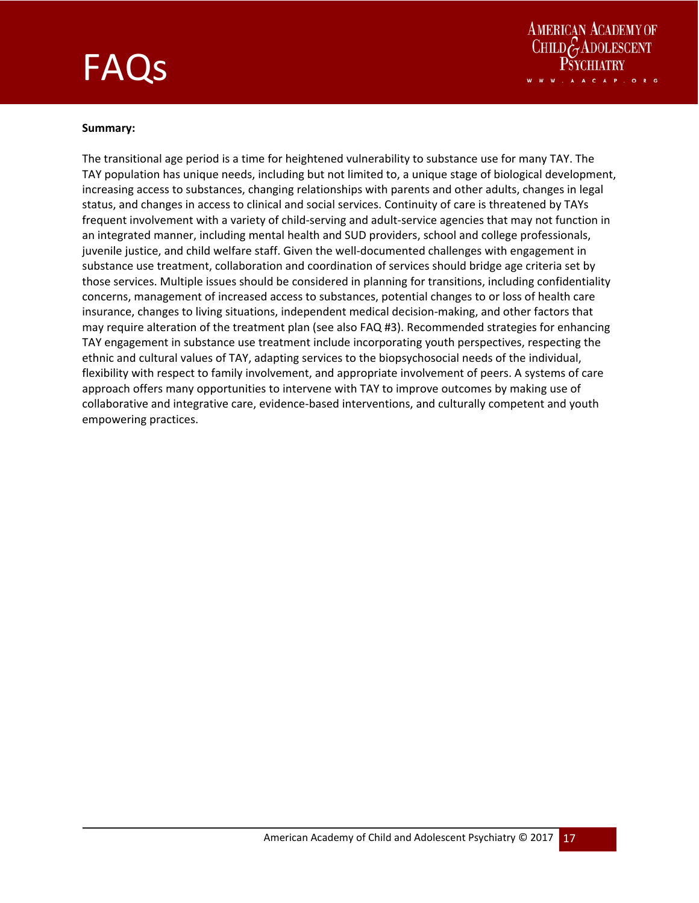



#### **Summary:**

The transitional age period is a time for heightened vulnerability to substance use for many TAY. The TAY population has unique needs, including but not limited to, a unique stage of biological development, increasing access to substances, changing relationships with parents and other adults, changes in legal status, and changes in access to clinical and social services. Continuity of care is threatened by TAYs frequent involvement with a variety of child‐serving and adult‐service agencies that may not function in an integrated manner, including mental health and SUD providers, school and college professionals, juvenile justice, and child welfare staff. Given the well‐documented challenges with engagement in substance use treatment, collaboration and coordination of services should bridge age criteria set by those services. Multiple issues should be considered in planning for transitions, including confidentiality concerns, management of increased access to substances, potential changes to or loss of health care insurance, changes to living situations, independent medical decision‐making, and other factors that may require alteration of the treatment plan (see also FAQ #3). Recommended strategies for enhancing TAY engagement in substance use treatment include incorporating youth perspectives, respecting the ethnic and cultural values of TAY, adapting services to the biopsychosocial needs of the individual, flexibility with respect to family involvement, and appropriate involvement of peers. A systems of care approach offers many opportunities to intervene with TAY to improve outcomes by making use of collaborative and integrative care, evidence‐based interventions, and culturally competent and youth empowering practices.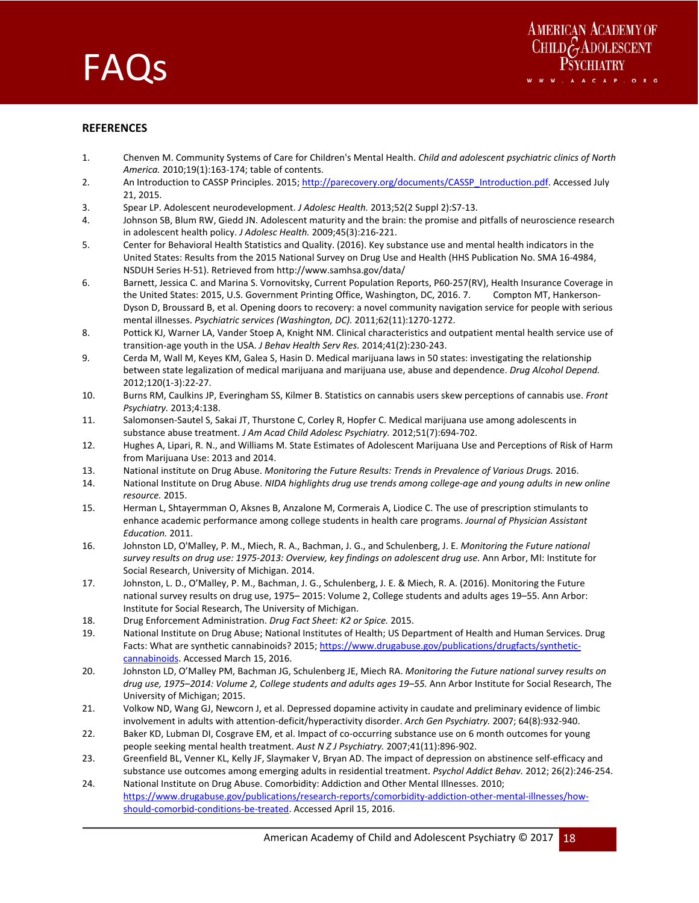



#### **REFERENCES**

- 1. Chenven M. Community Systems of Care for Children's Mental Health. *Child and adolescent psychiatric clinics of North America.* 2010;19(1):163‐174; table of contents.
- 2. An Introduction to CASSP Principles. 2015; http://parecovery.org/documents/CASSP\_Introduction.pdf. Accessed July 21, 2015.
- 3. Spear LP. Adolescent neurodevelopment. *J Adolesc Health.* 2013;52(2 Suppl 2):S7‐13.

- 4. Johnson SB, Blum RW, Giedd JN. Adolescent maturity and the brain: the promise and pitfalls of neuroscience research in adolescent health policy. *J Adolesc Health.* 2009;45(3):216‐221.
- 5. Center for Behavioral Health Statistics and Quality. (2016). Key substance use and mental health indicators in the United States: Results from the 2015 National Survey on Drug Use and Health (HHS Publication No. SMA 16‐4984, NSDUH Series H‐51). Retrieved from http://www.samhsa.gov/data/
- 6. Barnett, Jessica C. and Marina S. Vornovitsky, Current Population Reports, P60‐257(RV), Health Insurance Coverage in the United States: 2015, U.S. Government Printing Office, Washington, DC, 2016. 7. Compton MT, Hankerson-Dyson D, Broussard B, et al. Opening doors to recovery: a novel community navigation service for people with serious mental illnesses. *Psychiatric services (Washington, DC).* 2011;62(11):1270‐1272.
- 8. Pottick KJ, Warner LA, Vander Stoep A, Knight NM. Clinical characteristics and outpatient mental health service use of transition‐age youth in the USA. *J Behav Health Serv Res.* 2014;41(2):230‐243.
- 9. Cerda M, Wall M, Keyes KM, Galea S, Hasin D. Medical marijuana laws in 50 states: investigating the relationship between state legalization of medical marijuana and marijuana use, abuse and dependence. *Drug Alcohol Depend.*  2012;120(1‐3):22‐27.
- 10. Burns RM, Caulkins JP, Everingham SS, Kilmer B. Statistics on cannabis users skew perceptions of cannabis use. *Front Psychiatry.* 2013;4:138.
- 11. Salomonsen‐Sautel S, Sakai JT, Thurstone C, Corley R, Hopfer C. Medical marijuana use among adolescents in substance abuse treatment. *J Am Acad Child Adolesc Psychiatry.* 2012;51(7):694‐702.
- 12. Hughes A, Lipari, R. N., and Williams M. State Estimates of Adolescent Marijuana Use and Perceptions of Risk of Harm from Marijuana Use: 2013 and 2014.
- 13. National institute on Drug Abuse. *Monitoring the Future Results: Trends in Prevalence of Various Drugs.* 2016.
- 14. National Institute on Drug Abuse. *NIDA highlights drug use trends among college‐age and young adults in new online resource.* 2015.
- 15. Herman L, Shtayermman O, Aksnes B, Anzalone M, Cormerais A, Liodice C. The use of prescription stimulants to enhance academic performance among college students in health care programs. *Journal of Physician Assistant Education.* 2011.
- 16. Johnston LD, O'Malley, P. M., Miech, R. A., Bachman, J. G., and Schulenberg, J. E. *Monitoring the Future national survey results on drug use: 1975‐2013: Overview, key findings on adolescent drug use.* Ann Arbor, MI: Institute for Social Research, University of Michigan. 2014.
- 17. Johnston, L. D., O'Malley, P. M., Bachman, J. G., Schulenberg, J. E. & Miech, R. A. (2016). Monitoring the Future national survey results on drug use, 1975– 2015: Volume 2, College students and adults ages 19–55. Ann Arbor: Institute for Social Research, The University of Michigan.
- 18. Drug Enforcement Administration. *Drug Fact Sheet: K2 or Spice.* 2015.
- 19. National Institute on Drug Abuse; National Institutes of Health; US Department of Health and Human Services. Drug Facts: What are synthetic cannabinoids? 2015; https://www.drugabuse.gov/publications/drugfacts/syntheticcannabinoids. Accessed March 15, 2016.
- 20. Johnston LD, O'Malley PM, Bachman JG, Schulenberg JE, Miech RA. *Monitoring the Future national survey results on drug use, 1975–2014: Volume 2, College students and adults ages 19–55.* Ann Arbor Institute for Social Research, The University of Michigan; 2015.
- 21. Volkow ND, Wang GJ, Newcorn J, et al. Depressed dopamine activity in caudate and preliminary evidence of limbic involvement in adults with attention‐deficit/hyperactivity disorder. *Arch Gen Psychiatry.* 2007; 64(8):932‐940.
- 22. Baker KD, Lubman DI, Cosgrave EM, et al. Impact of co-occurring substance use on 6 month outcomes for young people seeking mental health treatment. *Aust N Z J Psychiatry.* 2007;41(11):896‐902.
- 23. Greenfield BL, Venner KL, Kelly JF, Slaymaker V, Bryan AD. The impact of depression on abstinence self‐efficacy and substance use outcomes among emerging adults in residential treatment. *Psychol Addict Behav.* 2012; 26(2):246‐254.
- 24. National Institute on Drug Abuse. Comorbidity: Addiction and Other Mental Illnesses. 2010; https://www.drugabuse.gov/publications/research-reports/comorbidity-addiction-other-mental-illnesses/howshould-comorbid-conditions-be-treated. Accessed April 15, 2016.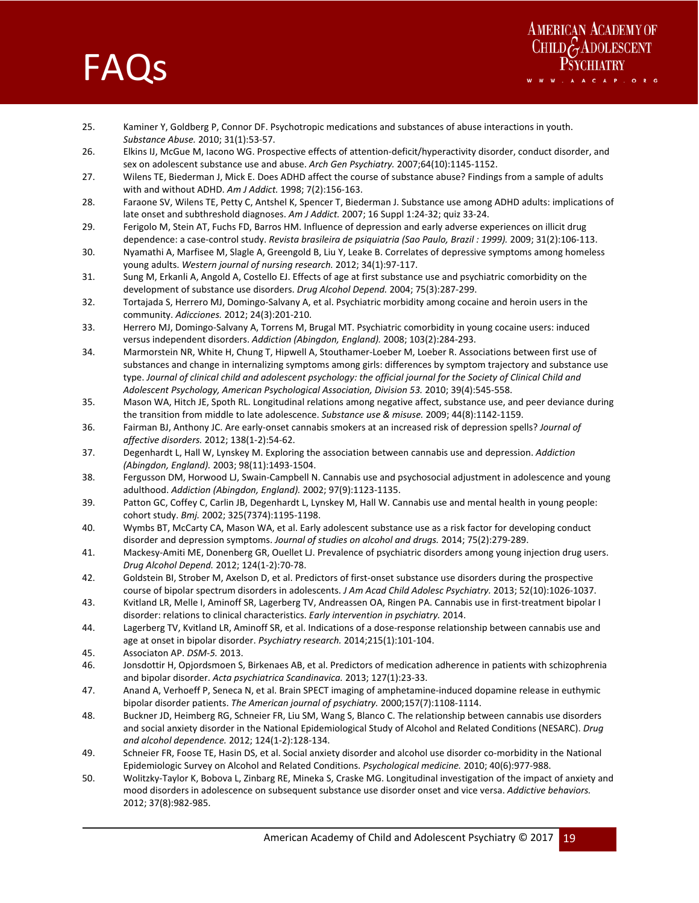



- 25. Kaminer Y, Goldberg P, Connor DF. Psychotropic medications and substances of abuse interactions in youth. *Substance Abuse.* 2010; 31(1):53‐57.
- 26. Elkins IJ, McGue M, Iacono WG. Prospective effects of attention‐deficit/hyperactivity disorder, conduct disorder, and sex on adolescent substance use and abuse. *Arch Gen Psychiatry.* 2007;64(10):1145‐1152.
- 27. Wilens TE, Biederman J, Mick E. Does ADHD affect the course of substance abuse? Findings from a sample of adults with and without ADHD. *Am J Addict.* 1998; 7(2):156‐163.
- 28. Faraone SV, Wilens TE, Petty C, Antshel K, Spencer T, Biederman J. Substance use among ADHD adults: implications of late onset and subthreshold diagnoses. *Am J Addict.* 2007; 16 Suppl 1:24‐32; quiz 33‐24.
- 29. Ferigolo M, Stein AT, Fuchs FD, Barros HM. Influence of depression and early adverse experiences on illicit drug dependence: a case‐control study. *Revista brasileira de psiquiatria (Sao Paulo, Brazil : 1999).* 2009; 31(2):106‐113.
- 30. Nyamathi A, Marfisee M, Slagle A, Greengold B, Liu Y, Leake B. Correlates of depressive symptoms among homeless young adults. *Western journal of nursing research.* 2012; 34(1):97‐117.
- 31. Sung M, Erkanli A, Angold A, Costello EJ. Effects of age at first substance use and psychiatric comorbidity on the development of substance use disorders. *Drug Alcohol Depend.* 2004; 75(3):287‐299.
- 32. Tortajada S, Herrero MJ, Domingo‐Salvany A, et al. Psychiatric morbidity among cocaine and heroin users in the community. *Adicciones.* 2012; 24(3):201‐210.
- 33. Herrero MJ, Domingo‐Salvany A, Torrens M, Brugal MT. Psychiatric comorbidity in young cocaine users: induced versus independent disorders. *Addiction (Abingdon, England).* 2008; 103(2):284‐293.
- 34. Marmorstein NR, White H, Chung T, Hipwell A, Stouthamer‐Loeber M, Loeber R. Associations between first use of substances and change in internalizing symptoms among girls: differences by symptom trajectory and substance use type. *Journal of clinical child and adolescent psychology: the official journal for the Society of Clinical Child and Adolescent Psychology, American Psychological Association, Division 53.* 2010; 39(4):545‐558.
- 35. Mason WA, Hitch JE, Spoth RL. Longitudinal relations among negative affect, substance use, and peer deviance during the transition from middle to late adolescence. *Substance use & misuse.* 2009; 44(8):1142‐1159.
- 36. Fairman BJ, Anthony JC. Are early‐onset cannabis smokers at an increased risk of depression spells? *Journal of affective disorders.* 2012; 138(1‐2):54‐62.
- 37. Degenhardt L, Hall W, Lynskey M. Exploring the association between cannabis use and depression. *Addiction (Abingdon, England).* 2003; 98(11):1493‐1504.
- 38. Fergusson DM, Horwood LJ, Swain‐Campbell N. Cannabis use and psychosocial adjustment in adolescence and young adulthood. *Addiction (Abingdon, England).* 2002; 97(9):1123‐1135.
- 39. Patton GC, Coffey C, Carlin JB, Degenhardt L, Lynskey M, Hall W. Cannabis use and mental health in young people: cohort study. *Bmj.* 2002; 325(7374):1195‐1198.
- 40. Wymbs BT, McCarty CA, Mason WA, et al. Early adolescent substance use as a risk factor for developing conduct disorder and depression symptoms. *Journal of studies on alcohol and drugs.* 2014; 75(2):279‐289.
- 41. Mackesy-Amiti ME, Donenberg GR, Ouellet LJ. Prevalence of psychiatric disorders among young injection drug users. *Drug Alcohol Depend.* 2012; 124(1‐2):70‐78.
- 42. Goldstein BI, Strober M, Axelson D, et al. Predictors of first-onset substance use disorders during the prospective course of bipolar spectrum disorders in adolescents. *J Am Acad Child Adolesc Psychiatry.* 2013; 52(10):1026‐1037.
- 43. Kvitland LR, Melle I, Aminoff SR, Lagerberg TV, Andreassen OA, Ringen PA. Cannabis use in first-treatment bipolar I disorder: relations to clinical characteristics. *Early intervention in psychiatry.* 2014.
- 44. Lagerberg TV, Kvitland LR, Aminoff SR, et al. Indications of a dose‐response relationship between cannabis use and age at onset in bipolar disorder. *Psychiatry research.* 2014;215(1):101‐104.
- 45. Associaton AP. *DSM‐5.* 2013.
- 46. Jonsdottir H, Opjordsmoen S, Birkenaes AB, et al. Predictors of medication adherence in patients with schizophrenia and bipolar disorder. *Acta psychiatrica Scandinavica.* 2013; 127(1):23‐33.
- 47. Anand A, Verhoeff P, Seneca N, et al. Brain SPECT imaging of amphetamine-induced dopamine release in euthymic bipolar disorder patients. *The American journal of psychiatry.* 2000;157(7):1108‐1114.
- 48. Buckner JD, Heimberg RG, Schneier FR, Liu SM, Wang S, Blanco C. The relationship between cannabis use disorders and social anxiety disorder in the National Epidemiological Study of Alcohol and Related Conditions (NESARC). *Drug and alcohol dependence.* 2012; 124(1‐2):128‐134.
- 49. Schneier FR, Foose TE, Hasin DS, et al. Social anxiety disorder and alcohol use disorder co-morbidity in the National Epidemiologic Survey on Alcohol and Related Conditions. *Psychological medicine.* 2010; 40(6):977‐988.
- 50. Wolitzky‐Taylor K, Bobova L, Zinbarg RE, Mineka S, Craske MG. Longitudinal investigation of the impact of anxiety and mood disorders in adolescence on subsequent substance use disorder onset and vice versa. *Addictive behaviors.*  2012; 37(8):982‐985.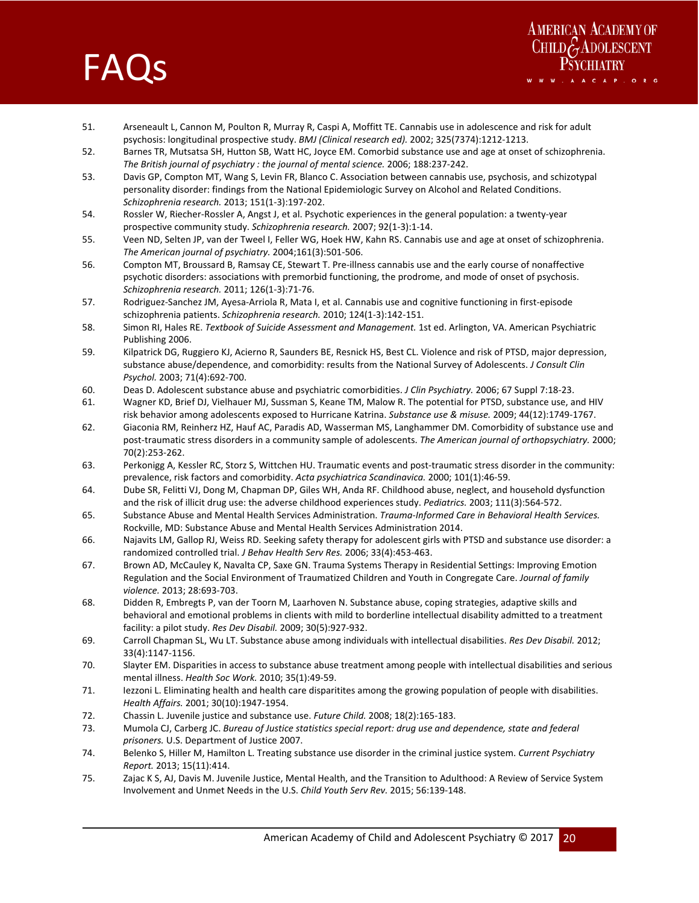# **FAQS**



- 51. Arseneault L, Cannon M, Poulton R, Murray R, Caspi A, Moffitt TE. Cannabis use in adolescence and risk for adult psychosis: longitudinal prospective study. *BMJ (Clinical research ed).* 2002; 325(7374):1212‐1213.
- 52. Barnes TR, Mutsatsa SH, Hutton SB, Watt HC, Joyce EM. Comorbid substance use and age at onset of schizophrenia. *The British journal of psychiatry : the journal of mental science.* 2006; 188:237‐242.
- 53. Davis GP, Compton MT, Wang S, Levin FR, Blanco C. Association between cannabis use, psychosis, and schizotypal personality disorder: findings from the National Epidemiologic Survey on Alcohol and Related Conditions. *Schizophrenia research.* 2013; 151(1‐3):197‐202.
- 54. Rossler W, Riecher-Rossler A, Angst J, et al. Psychotic experiences in the general population: a twenty-year prospective community study. *Schizophrenia research.* 2007; 92(1‐3):1‐14.
- 55. Veen ND, Selten JP, van der Tweel I, Feller WG, Hoek HW, Kahn RS. Cannabis use and age at onset of schizophrenia. *The American journal of psychiatry.* 2004;161(3):501‐506.
- 56. Compton MT, Broussard B, Ramsay CE, Stewart T. Pre‐illness cannabis use and the early course of nonaffective psychotic disorders: associations with premorbid functioning, the prodrome, and mode of onset of psychosis. *Schizophrenia research.* 2011; 126(1‐3):71‐76.
- 57. Rodriguez-Sanchez JM, Ayesa-Arriola R, Mata I, et al. Cannabis use and cognitive functioning in first-episode schizophrenia patients. *Schizophrenia research.* 2010; 124(1‐3):142‐151.
- 58. Simon RI, Hales RE. *Textbook of Suicide Assessment and Management.* 1st ed. Arlington, VA. American Psychiatric Publishing 2006.
- 59. Kilpatrick DG, Ruggiero KJ, Acierno R, Saunders BE, Resnick HS, Best CL. Violence and risk of PTSD, major depression, substance abuse/dependence, and comorbidity: results from the National Survey of Adolescents. *J Consult Clin Psychol.* 2003; 71(4):692‐700.
- 60. Deas D. Adolescent substance abuse and psychiatric comorbidities. *J Clin Psychiatry.* 2006; 67 Suppl 7:18‐23.
- 61. Wagner KD, Brief DJ, Vielhauer MJ, Sussman S, Keane TM, Malow R. The potential for PTSD, substance use, and HIV risk behavior among adolescents exposed to Hurricane Katrina. *Substance use & misuse.* 2009; 44(12):1749‐1767.
- 62. Giaconia RM, Reinherz HZ, Hauf AC, Paradis AD, Wasserman MS, Langhammer DM. Comorbidity of substance use and post‐traumatic stress disorders in a community sample of adolescents. *The American journal of orthopsychiatry.* 2000; 70(2):253‐262.
- 63. Perkonigg A, Kessler RC, Storz S, Wittchen HU. Traumatic events and post-traumatic stress disorder in the community: prevalence, risk factors and comorbidity. *Acta psychiatrica Scandinavica.* 2000; 101(1):46‐59.
- 64. Dube SR, Felitti VJ, Dong M, Chapman DP, Giles WH, Anda RF. Childhood abuse, neglect, and household dysfunction and the risk of illicit drug use: the adverse childhood experiences study. *Pediatrics.* 2003; 111(3):564‐572.
- 65. Substance Abuse and Mental Health Services Administration. *Trauma‐Informed Care in Behavioral Health Services.*  Rockville, MD: Substance Abuse and Mental Health Services Administration 2014.
- 66. Najavits LM, Gallop RJ, Weiss RD. Seeking safety therapy for adolescent girls with PTSD and substance use disorder: a randomized controlled trial. *J Behav Health Serv Res.* 2006; 33(4):453‐463.
- 67. Brown AD, McCauley K, Navalta CP, Saxe GN. Trauma Systems Therapy in Residential Settings: Improving Emotion Regulation and the Social Environment of Traumatized Children and Youth in Congregate Care. *Journal of family violence.* 2013; 28:693‐703.
- 68. Didden R, Embregts P, van der Toorn M, Laarhoven N. Substance abuse, coping strategies, adaptive skills and behavioral and emotional problems in clients with mild to borderline intellectual disability admitted to a treatment facility: a pilot study. *Res Dev Disabil.* 2009; 30(5):927‐932.
- 69. Carroll Chapman SL, Wu LT. Substance abuse among individuals with intellectual disabilities. *Res Dev Disabil.* 2012; 33(4):1147‐1156.
- 70. Slayter EM. Disparities in access to substance abuse treatment among people with intellectual disabilities and serious mental illness. *Health Soc Work.* 2010; 35(1):49‐59.
- 71. Iezzoni L. Eliminating health and health care disparitites among the growing population of people with disabilities. *Health Affairs.* 2001; 30(10):1947‐1954.
- 72. Chassin L. Juvenile justice and substance use. *Future Child.* 2008; 18(2):165‐183.
- 73. Mumola CJ, Carberg JC. *Bureau of Justice statistics special report: drug use and dependence, state and federal prisoners.* U.S. Department of Justice 2007.
- 74. Belenko S, Hiller M, Hamilton L. Treating substance use disorder in the criminal justice system. *Current Psychiatry Report.* 2013; 15(11):414.
- 75. Zajac K S, AJ, Davis M. Juvenile Justice, Mental Health, and the Transition to Adulthood: A Review of Service System Involvement and Unmet Needs in the U.S. *Child Youth Serv Rev.* 2015; 56:139‐148.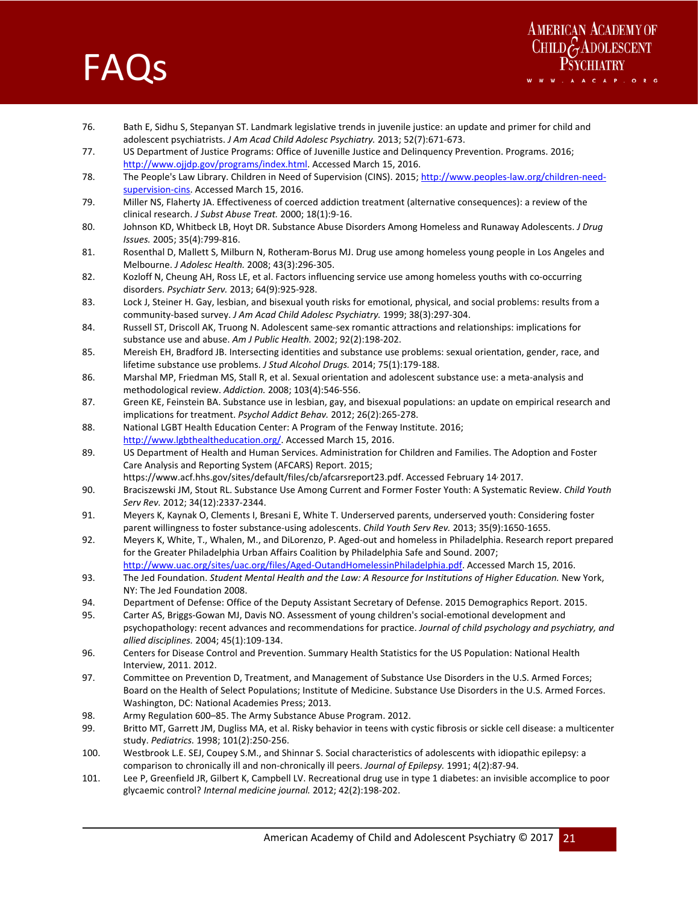

- 76. Bath E, Sidhu S, Stepanyan ST. Landmark legislative trends in juvenile justice: an update and primer for child and adolescent psychiatrists. *J Am Acad Child Adolesc Psychiatry.* 2013; 52(7):671‐673.
- 77. US Department of Justice Programs: Office of Juvenille Justice and Delinquency Prevention. Programs. 2016; http://www.ojjdp.gov/programs/index.html. Accessed March 15, 2016.
- 78. The People's Law Library. Children in Need of Supervision (CINS). 2015; http://www.peoples-law.org/children-needsupervision-cins</u>. Accessed March 15, 2016.
- 79. Miller NS, Flaherty JA. Effectiveness of coerced addiction treatment (alternative consequences): a review of the clinical research. *J Subst Abuse Treat.* 2000; 18(1):9‐16.
- 80. Johnson KD, Whitbeck LB, Hoyt DR. Substance Abuse Disorders Among Homeless and Runaway Adolescents. *J Drug Issues.* 2005; 35(4):799‐816.
- 81. Rosenthal D, Mallett S, Milburn N, Rotheram-Borus MJ. Drug use among homeless young people in Los Angeles and Melbourne. *J Adolesc Health.* 2008; 43(3):296‐305.
- 82. Kozloff N, Cheung AH, Ross LE, et al. Factors influencing service use among homeless youths with co-occurring disorders. *Psychiatr Serv.* 2013; 64(9):925‐928.
- 83. Lock J, Steiner H. Gay, lesbian, and bisexual youth risks for emotional, physical, and social problems: results from a community‐based survey. *J Am Acad Child Adolesc Psychiatry.* 1999; 38(3):297‐304.
- 84. Russell ST, Driscoll AK, Truong N. Adolescent same-sex romantic attractions and relationships: implications for substance use and abuse. *Am J Public Health.* 2002; 92(2):198‐202.
- 85. Mereish EH, Bradford JB. Intersecting identities and substance use problems: sexual orientation, gender, race, and lifetime substance use problems. *J Stud Alcohol Drugs.* 2014; 75(1):179‐188.
- 86. Marshal MP, Friedman MS, Stall R, et al. Sexual orientation and adolescent substance use: a meta-analysis and methodological review. *Addiction.* 2008; 103(4):546‐556.
- 87. Green KE, Feinstein BA. Substance use in lesbian, gay, and bisexual populations: an update on empirical research and implications for treatment. *Psychol Addict Behav.* 2012; 26(2):265‐278.
- 88. National LGBT Health Education Center: A Program of the Fenway Institute. 2016; http://www.lgbthealtheducation.org/. Accessed March 15, 2016.
- 89. US Department of Health and Human Services. Administration for Children and Families. The Adoption and Foster Care Analysis and Reporting System (AFCARS) Report. 2015; https://www.acf.hhs.gov/sites/default/files/cb/afcarsreport23.pdf. Accessed February 14, 2017.
- 90. Braciszewski JM, Stout RL. Substance Use Among Current and Former Foster Youth: A Systematic Review. *Child Youth Serv Rev.* 2012; 34(12):2337‐2344.
- 91. Meyers K, Kaynak O, Clements I, Bresani E, White T. Underserved parents, underserved youth: Considering foster parent willingness to foster substance‐using adolescents. *Child Youth Serv Rev.* 2013; 35(9):1650‐1655.
- 92. Meyers K, White, T., Whalen, M., and DiLorenzo, P. Aged‐out and homeless in Philadelphia. Research report prepared for the Greater Philadelphia Urban Affairs Coalition by Philadelphia Safe and Sound. 2007; http://www.uac.org/sites/uac.org/files/Aged‐OutandHomelessinPhiladelphia.pdf. Accessed March 15, 2016.
- 93. The Jed Foundation. *Student Mental Health and the Law: A Resource for Institutions of Higher Education*. New York, NY: The Jed Foundation 2008.
- 94. Department of Defense: Office of the Deputy Assistant Secretary of Defense. 2015 Demographics Report. 2015.
- 95. Carter AS, Briggs‐Gowan MJ, Davis NO. Assessment of young children's social‐emotional development and psychopathology: recent advances and recommendations for practice. *Journal of child psychology and psychiatry, and allied disciplines.* 2004; 45(1):109‐134.
- 96. Centers for Disease Control and Prevention. Summary Health Statistics for the US Population: National Health Interview, 2011. 2012.
- 97. Committee on Prevention D, Treatment, and Management of Substance Use Disorders in the U.S. Armed Forces; Board on the Health of Select Populations; Institute of Medicine. Substance Use Disorders in the U.S. Armed Forces. Washington, DC: National Academies Press; 2013.
- 98. Army Regulation 600–85. The Army Substance Abuse Program. 2012.
- 99. Britto MT, Garrett JM, Dugliss MA, et al. Risky behavior in teens with cystic fibrosis or sickle cell disease: a multicenter study. *Pediatrics.* 1998; 101(2):250‐256.
- 100. Westbrook L.E. SEJ, Coupey S.M., and Shinnar S. Social characteristics of adolescents with idiopathic epilepsy: a comparison to chronically ill and non‐chronically ill peers. *Journal of Epilepsy.* 1991; 4(2):87‐94.
- 101. Lee P, Greenfield JR, Gilbert K, Campbell LV. Recreational drug use in type 1 diabetes: an invisible accomplice to poor glycaemic control? *Internal medicine journal.* 2012; 42(2):198‐202.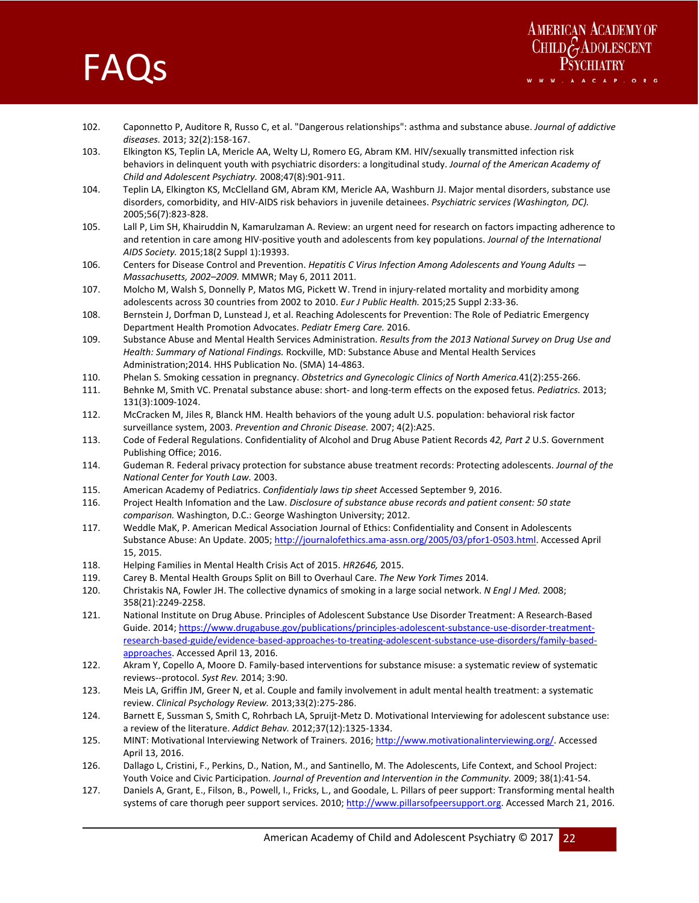



- 102. Caponnetto P, Auditore R, Russo C, et al. "Dangerous relationships": asthma and substance abuse. *Journal of addictive diseases.* 2013; 32(2):158‐167.
- 103. Elkington KS, Teplin LA, Mericle AA, Welty LJ, Romero EG, Abram KM. HIV/sexually transmitted infection risk behaviors in delinquent youth with psychiatric disorders: a longitudinal study. *Journal of the American Academy of Child and Adolescent Psychiatry.* 2008;47(8):901‐911.
- 104. Teplin LA, Elkington KS, McClelland GM, Abram KM, Mericle AA, Washburn JJ. Major mental disorders, substance use disorders, comorbidity, and HIV‐AIDS risk behaviors in juvenile detainees. *Psychiatric services (Washington, DC).*  2005;56(7):823‐828.
- 105. Lall P, Lim SH, Khairuddin N, Kamarulzaman A. Review: an urgent need for research on factors impacting adherence to and retention in care among HIV‐positive youth and adolescents from key populations. *Journal of the International AIDS Society.* 2015;18(2 Suppl 1):19393.
- 106. Centers for Disease Control and Prevention. *Hepatitis C Virus Infection Among Adolescents and Young Adults Massachusetts, 2002–2009.* MMWR; May 6, 2011 2011.
- 107. Molcho M, Walsh S, Donnelly P, Matos MG, Pickett W. Trend in injury-related mortality and morbidity among adolescents across 30 countries from 2002 to 2010. *Eur J Public Health.* 2015;25 Suppl 2:33‐36.
- 108. Bernstein J, Dorfman D, Lunstead J, et al. Reaching Adolescents for Prevention: The Role of Pediatric Emergency Department Health Promotion Advocates. *Pediatr Emerg Care.* 2016.
- 109. Substance Abuse and Mental Health Services Administration. *Results from the 2013 National Survey on Drug Use and Health: Summary of National Findings.* Rockville, MD: Substance Abuse and Mental Health Services Administration;2014. HHS Publication No. (SMA) 14‐4863.
- 110. Phelan S. Smoking cessation in pregnancy. *Obstetrics and Gynecologic Clinics of North America.*41(2):255‐266.
- 111. Behnke M, Smith VC. Prenatal substance abuse: short‐ and long‐term effects on the exposed fetus. *Pediatrics.* 2013; 131(3):1009‐1024.
- 112. McCracken M, Jiles R, Blanck HM. Health behaviors of the young adult U.S. population: behavioral risk factor surveillance system, 2003. *Prevention and Chronic Disease.* 2007; 4(2):A25.
- 113. Code of Federal Regulations. Confidentiality of Alcohol and Drug Abuse Patient Records *42, Part 2* U.S. Government Publishing Office; 2016.
- 114. Gudeman R. Federal privacy protection for substance abuse treatment records: Protecting adolescents. *Journal of the National Center for Youth Law.* 2003.
- 115. American Academy of Pediatrics. *Confidentialy laws tip sheet* Accessed September 9, 2016.
- 116. Project Health Infomation and the Law. *Disclosure of substance abuse records and patient consent: 50 state comparison.* Washington, D.C.: George Washington University; 2012.
- 117. Weddle MaK, P. American Medical Association Journal of Ethics: Confidentiality and Consent in Adolescents Substance Abuse: An Update. 2005; http://journalofethics.ama-assn.org/2005/03/pfor1-0503.html. Accessed April 15, 2015.
- 118. Helping Families in Mental Health Crisis Act of 2015. *HR2646,* 2015.
- 119. Carey B. Mental Health Groups Split on Bill to Overhaul Care. *The New York Times* 2014.
- 120. Christakis NA, Fowler JH. The collective dynamics of smoking in a large social network. *N Engl J Med.* 2008; 358(21):2249‐2258.
- 121. National Institute on Drug Abuse. Principles of Adolescent Substance Use Disorder Treatment: A Research‐Based Guide. 2014; https://www.drugabuse.gov/publications/principles-adolescent-substance-use-disorder-treatmentresearch‐based‐guide/evidence‐based‐approaches‐to‐treating‐adolescent‐substance‐use‐disorders/family‐based‐ approaches. Accessed April 13, 2016.
- 122. Akram Y, Copello A, Moore D. Family‐based interventions for substance misuse: a systematic review of systematic reviews‐‐protocol. *Syst Rev.* 2014; 3:90.
- 123. Meis LA, Griffin JM, Greer N, et al. Couple and family involvement in adult mental health treatment: a systematic review. *Clinical Psychology Review.* 2013;33(2):275‐286.
- 124. Barnett E, Sussman S, Smith C, Rohrbach LA, Spruijt‐Metz D. Motivational Interviewing for adolescent substance use: a review of the literature. *Addict Behav.* 2012;37(12):1325‐1334.
- 125. MINT: Motivational Interviewing Network of Trainers. 2016; http://www.motivationalinterviewing.org/. Accessed April 13, 2016.
- 126. Dallago L, Cristini, F., Perkins, D., Nation, M., and Santinello, M. The Adolescents, Life Context, and School Project: Youth Voice and Civic Participation. *Journal of Prevention and Intervention in the Community.* 2009; 38(1):41‐54.
- 127. Daniels A, Grant, E., Filson, B., Powell, I., Fricks, L., and Goodale, L. Pillars of peer support: Transforming mental health systems of care thorugh peer support services. 2010; http://www.pillarsofpeersupport.org. Accessed March 21, 2016.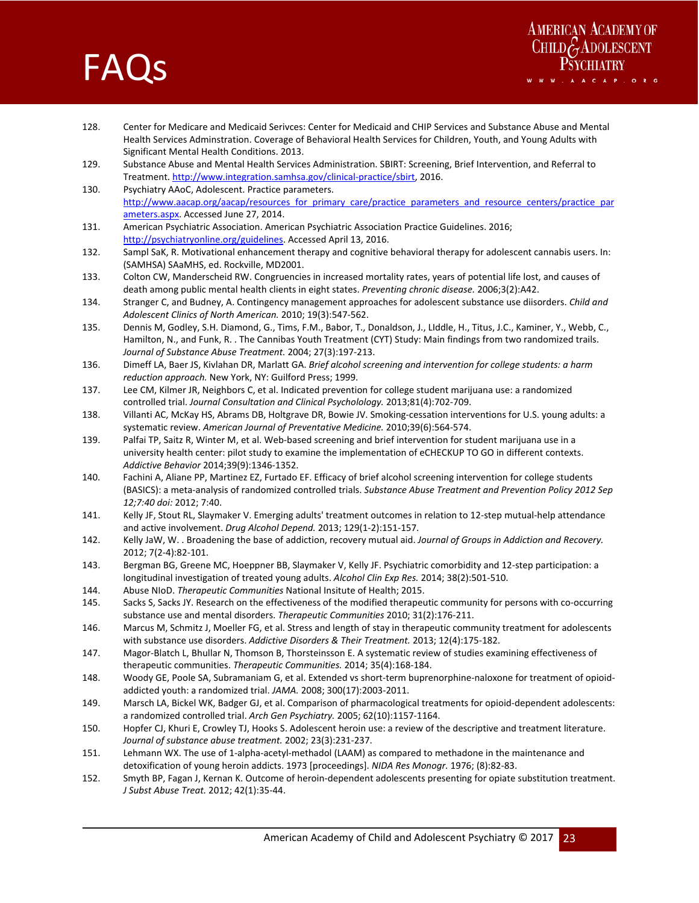# **FAQS**



- 128. Center for Medicare and Medicaid Serivces: Center for Medicaid and CHIP Services and Substance Abuse and Mental Health Services Adminstration. Coverage of Behavioral Health Services for Children, Youth, and Young Adults with Significant Mental Health Conditions. 2013.
- 129. Substance Abuse and Mental Health Services Administration. SBIRT: Screening, Brief Intervention, and Referral to Treatment. http://www.integration.samhsa.gov/clinical‐practice/sbirt, 2016.
- 130. Psychiatry AAoC, Adolescent. Practice parameters. http://www.aacap.org/aacap/resources\_for\_primary\_care/practice\_parameters\_and\_resource\_centers/practice\_par ameters.aspx. Accessed June 27, 2014.
- 131. American Psychiatric Association. American Psychiatric Association Practice Guidelines. 2016; http://psychiatryonline.org/guidelines. Accessed April 13, 2016.
- 132. Sampl SaK, R. Motivational enhancement therapy and cognitive behavioral therapy for adolescent cannabis users. In: (SAMHSA) SAaMHS, ed. Rockville, MD2001.
- 133. Colton CW, Manderscheid RW. Congruencies in increased mortality rates, years of potential life lost, and causes of death among public mental health clients in eight states. *Preventing chronic disease.* 2006;3(2):A42.
- 134. Stranger C, and Budney, A. Contingency management approaches for adolescent substance use diisorders. *Child and Adolescent Clinics of North American.* 2010; 19(3):547‐562.
- 135. Dennis M, Godley, S.H. Diamond, G., Tims, F.M., Babor, T., Donaldson, J., LIddle, H., Titus, J.C., Kaminer, Y., Webb, C., Hamilton, N., and Funk, R. . The Cannibas Youth Treatment (CYT) Study: Main findings from two randomized trails. *Journal of Substance Abuse Treatment.* 2004; 27(3):197‐213.
- 136. Dimeff LA, Baer JS, Kivlahan DR, Marlatt GA. *Brief alcohol screening and intervention for college students: a harm reduction approach.* New York, NY: Guilford Press; 1999.
- 137. Lee CM, Kilmer JR, Neighbors C, et al. Indicated prevention for college student marijuana use: a randomized controlled trial. *Journal Consultation and Clinical Psycholology.* 2013;81(4):702‐709.
- 138. Villanti AC, McKay HS, Abrams DB, Holtgrave DR, Bowie JV. Smoking‐cessation interventions for U.S. young adults: a systematic review. *American Journal of Preventative Medicine.* 2010;39(6):564‐574.
- 139. Palfai TP, Saitz R, Winter M, et al. Web-based screening and brief intervention for student marijuana use in a university health center: pilot study to examine the implementation of eCHECKUP TO GO in different contexts. *Addictive Behavior* 2014;39(9):1346‐1352.
- 140. Fachini A, Aliane PP, Martinez EZ, Furtado EF. Efficacy of brief alcohol screening intervention for college students (BASICS): a meta‐analysis of randomized controlled trials. *Substance Abuse Treatment and Prevention Policy 2012 Sep 12;7:40 doi:* 2012; 7:40.
- 141. Kelly JF, Stout RL, Slaymaker V. Emerging adults' treatment outcomes in relation to 12‐step mutual‐help attendance and active involvement. *Drug Alcohol Depend.* 2013; 129(1‐2):151‐157.
- 142. Kelly JaW, W. . Broadening the base of addiction, recovery mutual aid. *Journal of Groups in Addiction and Recovery.*  2012; 7(2‐4):82‐101.
- 143. Bergman BG, Greene MC, Hoeppner BB, Slaymaker V, Kelly JF. Psychiatric comorbidity and 12‐step participation: a longitudinal investigation of treated young adults. *Alcohol Clin Exp Res.* 2014; 38(2):501‐510.
- 144. Abuse NIoD. *Therapeutic Communities* National Insitute of Health; 2015.
- 145. Sacks S, Sacks JY. Research on the effectiveness of the modified therapeutic community for persons with co-occurring substance use and mental disorders. *Therapeutic Communities* 2010; 31(2):176‐211.
- 146. Marcus M, Schmitz J, Moeller FG, et al. Stress and length of stay in therapeutic community treatment for adolescents with substance use disorders. *Addictive Disorders & Their Treatment.* 2013; 12(4):175‐182.
- 147. Magor‐Blatch L, Bhullar N, Thomson B, Thorsteinsson E. A systematic review of studies examining effectiveness of therapeutic communities. *Therapeutic Communities.* 2014; 35(4):168‐184.
- 148. Woody GE, Poole SA, Subramaniam G, et al. Extended vs short-term buprenorphine-naloxone for treatment of opioidaddicted youth: a randomized trial. *JAMA.* 2008; 300(17):2003‐2011.
- 149. Marsch LA, Bickel WK, Badger GJ, et al. Comparison of pharmacological treatments for opioid-dependent adolescents: a randomized controlled trial. *Arch Gen Psychiatry.* 2005; 62(10):1157‐1164.
- 150. Hopfer CJ, Khuri E, Crowley TJ, Hooks S. Adolescent heroin use: a review of the descriptive and treatment literature. *Journal of substance abuse treatment.* 2002; 23(3):231‐237.
- 151. Lehmann WX. The use of 1‐alpha‐acetyl‐methadol (LAAM) as compared to methadone in the maintenance and detoxification of young heroin addicts. 1973 [proceedings]. *NIDA Res Monogr.* 1976; (8):82‐83.
- 152. Smyth BP, Fagan J, Kernan K. Outcome of heroin‐dependent adolescents presenting for opiate substitution treatment. *J Subst Abuse Treat.* 2012; 42(1):35‐44.